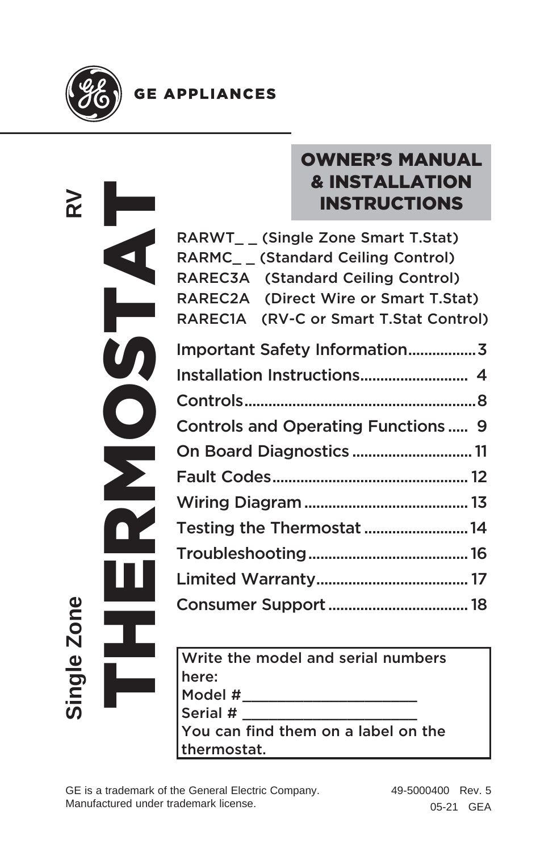

## **GE APPLIANCES**

| RARWT__                                                                         |
|---------------------------------------------------------------------------------|
| RARMC__                                                                         |
| RAREC3A                                                                         |
| RAREC2A                                                                         |
| RAREC1A                                                                         |
| Important                                                                       |
| Installatior                                                                    |
| Controls                                                                        |
| Controls a                                                                      |
| On Board                                                                        |
| Fault Cod                                                                       |
| <b>Wiring Dia</b>                                                               |
| <b>Testing th</b>                                                               |
| Troublesh                                                                       |
| <b>Limited W</b>                                                                |
| Consumer                                                                        |
| Write the                                                                       |
| here:                                                                           |
| Model #_                                                                        |
| Serial $#_$                                                                     |
| You can fi                                                                      |
| thermosta                                                                       |
| GE is a trademark of the General Elect<br>Manufactured under trademark license. |
|                                                                                 |

# OWNER'S MANUAL & INSTALLATION INSTRUCTIONS

| RARWT (Single Zone Smart T.Stat)           |
|--------------------------------------------|
| RARMC (Standard Ceiling Control)           |
| (Standard Ceiling Control)<br>RAREC3A      |
| RAREC2A<br>(Direct Wire or Smart T.Stat)   |
| (RV-C or Smart T.Stat Control)<br>RAREC1A  |
| Important Safety Information3              |
|                                            |
|                                            |
| <b>Controls and Operating Functions  9</b> |
| On Board Diagnostics  11                   |
|                                            |
|                                            |
| Testing the Thermostat  14                 |
|                                            |
|                                            |
|                                            |
|                                            |

Write the model and serial numbers here: nere:<br>Model #\_\_\_\_\_\_\_\_\_\_\_\_\_\_\_\_\_\_\_\_\_\_\_\_ Serial # You can find them on a label on the thermostat.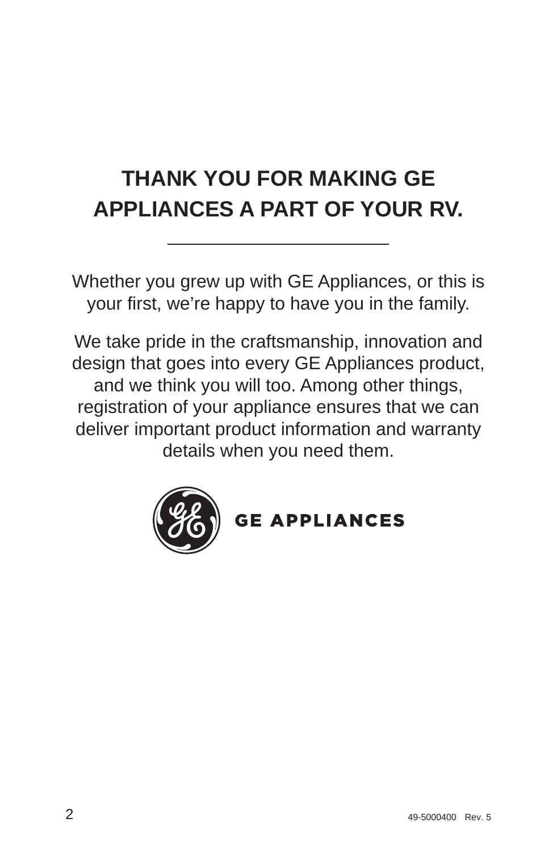# **THANK YOU FOR MAKING GE APPLIANCES A PART OF YOUR RV.**

Whether you grew up with GE Appliances, or this is your first, we're happy to have you in the family.

We take pride in the craftsmanship, innovation and design that goes into every GE Appliances product, and we think you will too. Among other things, registration of your appliance ensures that we can deliver important product information and warranty details when you need them.



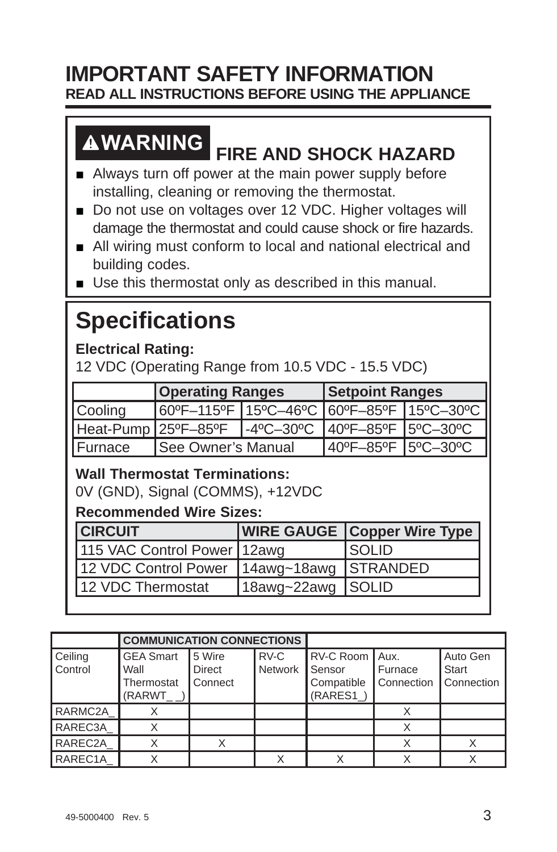## **IMPORTANT SAFETY INFORMATION READ ALL INSTRUCTIONS BEFORE USING THE APPLIANCE**

# **WARNING FIRE AND SHOCK HAZARD**

- $\blacksquare$  Always turn off power at the main power supply before installing, cleaning or removing the thermostat.
- Do not use on voltages over 12 VDC. Higher voltages will damage the thermostat and could cause shock or fire hazards.
- All wiring must conform to local and national electrical and building codes.
- $\blacksquare$  Use this thermostat only as described in this manual.

# **Specifications**

**Electrical Rating:** 

12 VDC (Operating Range from 10.5 VDC - 15.5 VDC)

|         | <b>Operating Ranges</b>                              |  | <b>Setpoint Ranges</b> |  |
|---------|------------------------------------------------------|--|------------------------|--|
| Cooling | 60°F-115°F 15°C-46°C 60°F-85°F 15°C-30°C             |  |                        |  |
|         | 1-4°C-30°C 40°F-85°F 5°C-30°C<br>Heat-Pump 25ºF–85ºF |  |                        |  |
| Furnace | <b>I</b> See Owner's Manual                          |  | 40°F-85°F   5°C-30°C   |  |

#### **Wall Thermostat Terminations:**

0V (GND), Signal (COMMS), +12VDC

#### **Recommended Wire Sizes:**

| <b>CIRCUIT</b>                                |                   | <b>WIRE GAUGE   Copper Wire Type  </b> |
|-----------------------------------------------|-------------------|----------------------------------------|
| 115 VAC Control Power 12awg                   |                   | ISOLID                                 |
| 12 VDC Control Power   14awg~18awg   STRANDED |                   |                                        |
| 112 VDC Thermostat                            | 18awg~22awg SOLID |                                        |

|                      | <b>COMMUNICATION CONNECTIONS</b>                                                                    |             |  |                                                      |                                    |                   |
|----------------------|-----------------------------------------------------------------------------------------------------|-------------|--|------------------------------------------------------|------------------------------------|-------------------|
| Ceiling<br>Control   | RV-C<br><b>GEA Smart</b><br>15 Wire<br>Network<br>Direct<br>Wall<br>Thermostat<br>Connect<br>(RARWT |             |  | RV-C Room   Aux.<br>Sensor<br>Compatible<br>(RARES1) | l Furnace<br>Connection Connection | Auto Gen<br>Start |
| RARMC <sub>2</sub> A |                                                                                                     |             |  |                                                      |                                    |                   |
| RAREC3A              |                                                                                                     |             |  |                                                      |                                    |                   |
| RAREC <sub>2</sub> A |                                                                                                     | $\check{ }$ |  |                                                      |                                    |                   |
| RAREC <sub>1</sub> A |                                                                                                     |             |  |                                                      |                                    |                   |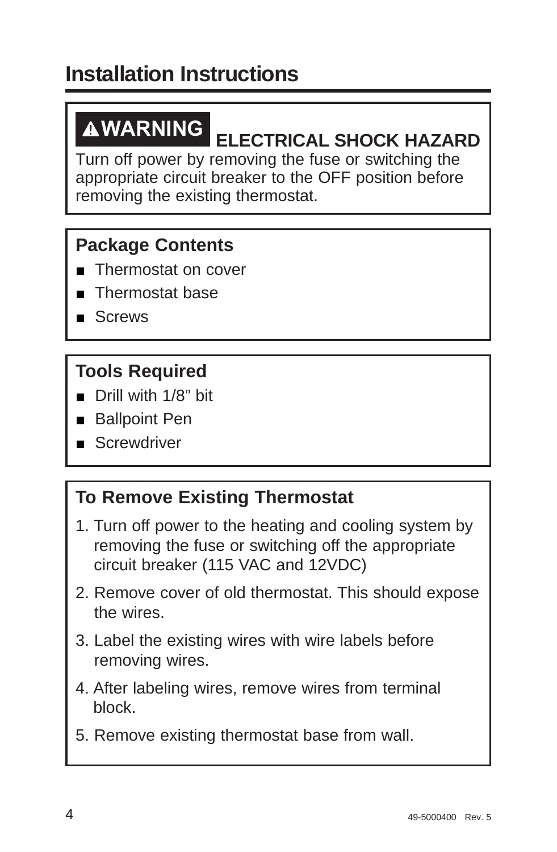**WARNING ELECTRICAL SHOCK HAZARD** Turn off power by removing the fuse or switching the appropriate circuit breaker to the OFF position before removing the existing thermostat.

## **Package Contents**

- **Thermostat on cover**
- Thermostat base
- $S$ Crews

## **Tools Required**

- $\blacksquare$  Drill with 1/8" bit
- **Ballpoint Pen**
- $S$ crewdriver

## **To Remove Existing Thermostat**

- 1. Turn off power to the heating and cooling system by removing the fuse or switching off the appropriate circuit breaker (115 VAC and 12VDC)
- 2. Remove cover of old thermostat. This should expose the wires.
- 3. Label the existing wires with wire labels before removing wires.
- 4. After labeling wires, remove wires from terminal block.
- 5. Remove existing thermostat base from wall.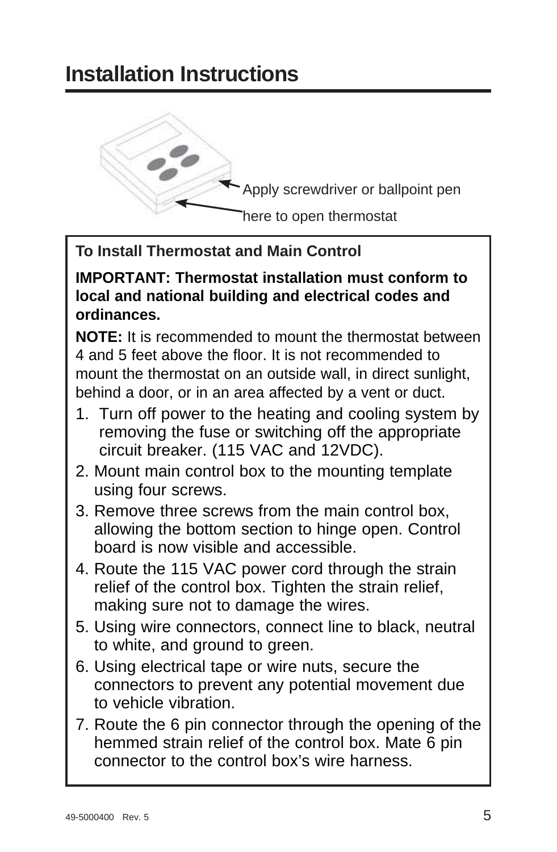

#### **To Install Thermostat and Main Control**

**IMPORTANT: Thermostat installation must conform to local and national building and electrical codes and ordinances.**

**NOTE:** It is recommended to mount the thermostat between 4 and 5 feet above the floor. It is not recommended to mount the thermostat on an outside wall, in direct sunlight, behind a door, or in an area affected by a vent or duct.

- 1. Turn off power to the heating and cooling system by removing the fuse or switching off the appropriate circuit breaker. (115 VAC and 12VDC).
- 2. Mount main control box to the mounting template using four screws.
- 3. Remove three screws from the main control box, allowing the bottom section to hinge open. Control board is now visible and accessible.
- 4. Route the 115 VAC power cord through the strain relief of the control box. Tighten the strain relief, making sure not to damage the wires.
- 5. Using wire connectors, connect line to black, neutral to white, and ground to green.
- 6. Using electrical tape or wire nuts, secure the connectors to prevent any potential movement due to vehicle vibration.
- 7. Route the 6 pin connector through the opening of the hemmed strain relief of the control box. Mate 6 pin connector to the control box's wire harness.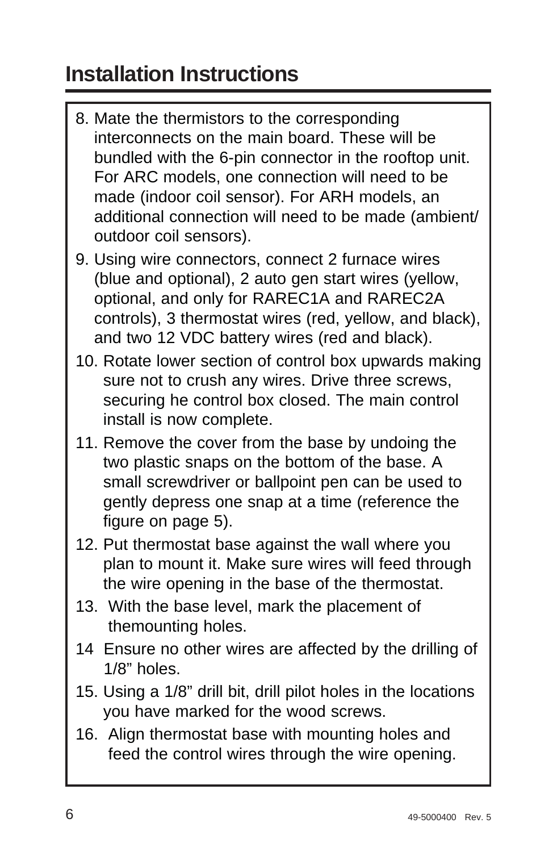- 8. Mate the thermistors to the corresponding interconnects on the main board. These will be bundled with the 6-pin connector in the rooftop unit. For ARC models, one connection will need to be made (indoor coil sensor). For ARH models, an additional connection will need to be made (ambient/ outdoor coil sensors).
- 9. Using wire connectors, connect 2 furnace wires (blue and optional), 2 auto gen start wires (yellow, optional, and only for RAREC1A and RAREC2A controls), 3 thermostat wires (red, yellow, and black), and two 12 VDC battery wires (red and black).
- 10. Rotate lower section of control box upwards making sure not to crush any wires. Drive three screws, securing he control box closed. The main control install is now complete.
- 11. Remove the cover from the base by undoing the two plastic snaps on the bottom of the base. A small screwdriver or ballpoint pen can be used to gently depress one snap at a time (reference the figure on page 5).
- 12. Put thermostat base against the wall where you plan to mount it. Make sure wires will feed through the wire opening in the base of the thermostat.
- 13. With the base level, mark the placement of themounting holes.
- 14 Ensure no other wires are affected by the drilling of 1/8" holes.
- 15. Using a 1/8" drill bit, drill pilot holes in the locations you have marked for the wood screws.
- 16. Align thermostat base with mounting holes and feed the control wires through the wire opening.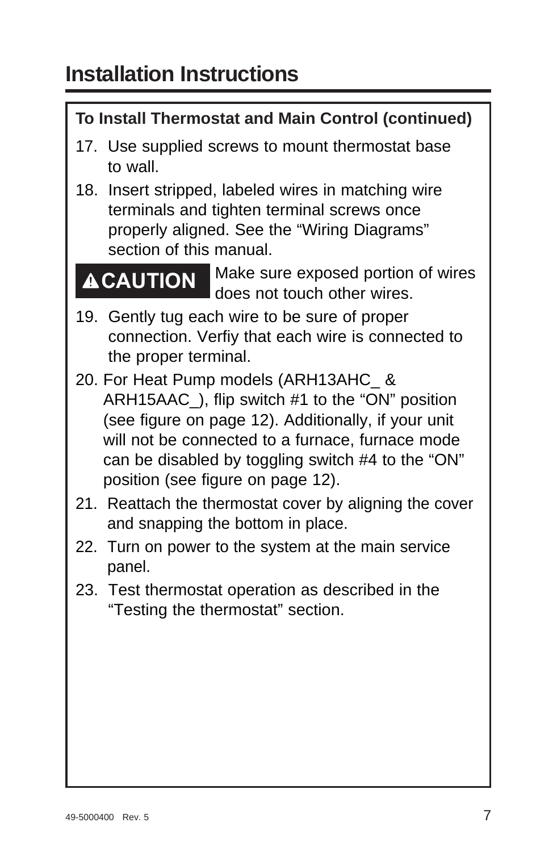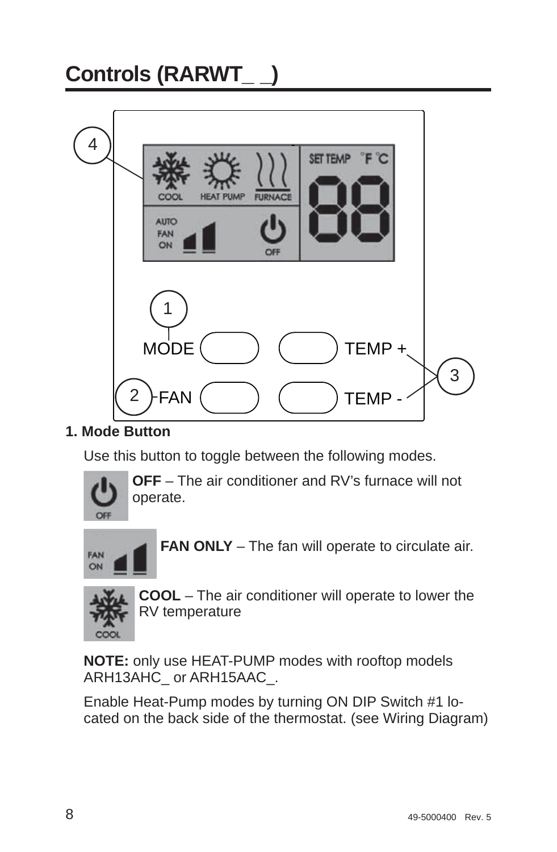# **Controls (RARWT\_ \_)**



#### **1. Mode Button**

Use this button to toggle between the following modes.



 **OFF** – The air conditioner and RV's furnace will not operate.



**FAN ONLY** – The fan will operate to circulate air.



 **COOL** – The air conditioner will operate to lower the RV temperature

**NOTE:** only use HEAT-PUMP modes with rooftop models ARH13AHC\_ or ARH15AAC\_.

Enable Heat-Pump modes by turning ON DIP Switch #1 located on the back side of the thermostat. (see Wiring Diagram)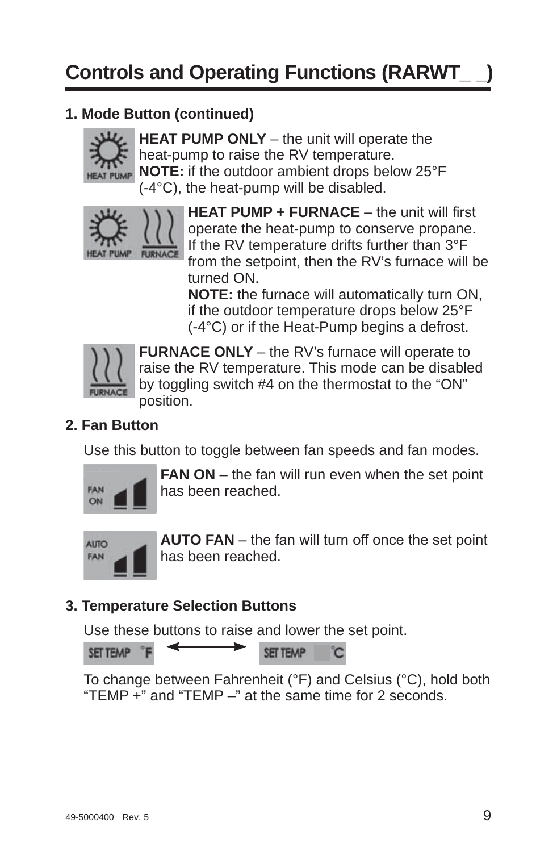#### **1. Mode Button (continued)**



**HEAT PUMP ONLY** – the unit will operate the heat-pump to raise the RV temperature. **NOTE:** if the outdoor ambient drops below 25°F (-4°C), the heat-pump will be disabled.



**HEAT PUMP + FURNACE** - the unit will first operate the heat-pump to conserve propane. If the RV temperature drifts further than 3°F from the setpoint, then the RV's furnace will be turned ON.

**NOTE:** the furnace will automatically turn ON, if the outdoor temperature drops below 25°F (-4°C) or if the Heat-Pump begins a defrost.



 **FURNACE ONLY** – the RV's furnace will operate to raise the RV temperature. This mode can be disabled by toggling switch #4 on the thermostat to the "ON" position.

#### **2. Fan Button**

Use this button to toggle between fan speeds and fan modes.



 **FAN ON** – the fan will run even when the set point has been reached.



**AUTO FAN** – the fan will turn off once the set point has been reached.

#### **3. Temperature Selection Buttons**

Use these buttons to raise and lower the set point.



To change between Fahrenheit (°F) and Celsius (°C), hold both "TEMP  $\div$ " and "TEMP  $-$ " at the same time for 2 seconds.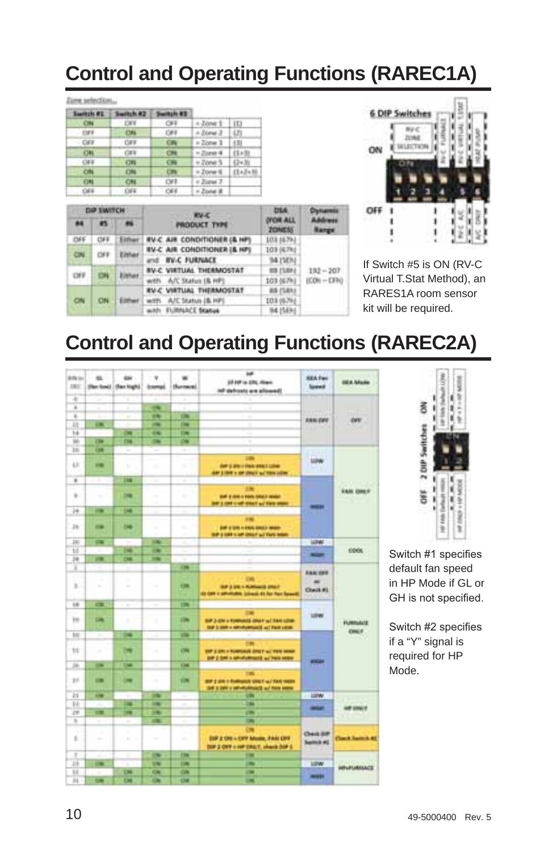# **Control and Operating Functions (RAREC1A)**

#### Ziem selection...

| Switch #E  | Switch AZ  | Switch #1  |                       |             |
|------------|------------|------------|-----------------------|-------------|
| <b>CHI</b> | <b>THE</b> | OFF.       | $+$ Zone 1 $\pm$ 113  |             |
| $-120$     | <b>CHL</b> | $-1200$    | $+2$ iona 3   LTI     |             |
| $-$ CAV.   | <b>CAS</b> | <b>CAY</b> | $+2$ orve 1 (1)       |             |
| 08         | <b>CES</b> | CH         | $=2i$ and $4$         | 111439      |
| CIFE       | (24)       | CHI        | $+2$ owe $5$ $-12+30$ | Ξ           |
| CH         | CHL        | <b>CHI</b> | in Zone 6             | $11.3 + 36$ |
| (18)       | 1784       | <b>CVE</b> | + Zurus 7             |             |
| 1365       | 1364       | 1,066      | » Postal B            |             |

| <b>DIP SWITCH</b> |     | <b>EV.C.</b> |                                               |                                          | <b>Chattannia</b> |  |
|-------------------|-----|--------------|-----------------------------------------------|------------------------------------------|-------------------|--|
| 86                | 45  |              | <b>PRODUCT TYPE</b>                           | <b><i>DYCHE ALL</i></b><br><b>ZONESS</b> | Advance<br>langs  |  |
| DFF               | OFF | Either       | <b><i>EV-C AIR CONDITIONER (&amp; HP)</i></b> | 103 16791                                |                   |  |
|                   |     | Elshar       | <b>RV-C AIR CONDITIONER I&amp; HPI</b>        | 103 (6.7kd)                              |                   |  |
|                   | CIN |              | and <b>RV-C FURNACE</b>                       | 34 (503)                                 |                   |  |
| <b>CHE</b>        |     | Either       | RV-C VIRTUAL THERMOSTAT                       | <b>WR ZSMAJ</b>                          | $.192 - 207$      |  |
|                   |     |              | with A/C Status (& HP)                        | 103 (67%)                                | $ICON + CFO$      |  |
|                   |     |              | <b><i>RV-C VIRTUAL THERMOSTAT</i></b>         | <b>BR (SBN)</b>                          |                   |  |
| CN                | CN  | Elthan       |                                               | with A/C Status (8. HP)                  | 103.05793         |  |
|                   |     |              | with FLIRARCE Status                          | 94.15Ekd                                 |                   |  |



If Switch #5 is ON (RV-C Virtual T.Stat Method), an RARES1A room sensor kit will be required.

# **Control and Operating Functions (RAREC2A)**

| <b>Article</b><br><b>DEC</b> | ez.                      | <b>OH</b><br>(Ran Small   (Ran Night) | ×<br><b>Johnston</b>        | Humani                   | $\overline{a}$<br>22 107 is 235, than<br>ish definets are allowed!                           | <b>SEA Fax</b><br><b>Sound</b>             | <b>ISLA Mode</b>        |
|------------------------------|--------------------------|---------------------------------------|-----------------------------|--------------------------|----------------------------------------------------------------------------------------------|--------------------------------------------|-------------------------|
| ٠                            |                          | ٠                                     |                             | ٠                        |                                                                                              |                                            |                         |
| ×                            | ٠                        | r                                     | $\overline{\phantom{a}}$    | ٠                        | x                                                                                            |                                            |                         |
| ×                            | ۰                        | ÷                                     | <b>UN</b>                   | m                        | ۰<br>٠                                                                                       |                                            |                         |
| m                            | <b>CHE</b>               |                                       | $\overline{\phantom{a}}$    | <b>Class</b>             | ÷<br>٠                                                                                       | <b>ABRIDEE</b>                             | <b>OFF</b>              |
| 14                           |                          | c                                     | 98                          | <b>DR</b>                | ۰<br>٠                                                                                       |                                            |                         |
| <b>SO</b>                    | œ                        | <b>CHE</b>                            | $\rightarrow$               | CIN                      | ÷<br>٠                                                                                       |                                            |                         |
| m                            | $\overline{C}$           | ÷                                     | ۰                           | ٠<br>-                   | ۰<br>٠                                                                                       |                                            |                         |
| 42                           | $\equiv$                 | ٠                                     | ٠                           | ۰<br>٠                   | m<br><b>July 2 200 x 200 000 1 120 m</b><br>AP 3 INT 1 M 2047 to 19th colm.                  | <b>LOW</b>                                 |                         |
| ٠                            | Ŧ                        | m                                     | m                           |                          | . .                                                                                          |                                            |                         |
| ×.                           | $\sim$                   | <b>ING</b>                            | $\sim$<br>×                 | $\sim$                   | <br><b>SUP &amp; AND A FOUN STAKE MINUT</b><br>bit 3 not is ut don't as this year.           | -                                          | <b><i>EAST CHEF</i></b> |
| 14                           | $\sim$                   | $\overline{\phantom{a}}$              | ۰                           | ٠                        |                                                                                              |                                            |                         |
| p.                           | $\overline{a}$           | <b>CHE</b>                            | w                           | ٠                        | <br><b>SHE &amp; SPR In ANIA MAKE MAKER</b><br>are a late is set shown and thank move-       |                                            |                         |
| m                            | $\overline{\phantom{a}}$ | ٠                                     | <b>STAN</b>                 | ×.<br>۰                  | - 16                                                                                         | <b>LIPW</b>                                |                         |
| Ħ                            |                          | m                                     | œ                           | ÷                        |                                                                                              | -                                          | <b>CDOL</b>             |
| 74                           | œ                        | m                                     | <b>IS</b>                   | ٠                        | z                                                                                            |                                            |                         |
| ×                            |                          | ٠                                     |                             | <b>CHR</b>               |                                                                                              | <b>AAA UPS</b>                             |                         |
| x                            | ٠                        | ÷<br>×                                | <b>Side</b>                 | $\overline{C}$           | OH<br>THE 2 DR 1 FLANGUE GRAY<br>() OFF I WRITING SHAUL \$1 for fax faxed                    | $\rightarrow$<br><b>Chack #1</b><br>un est |                         |
| 1.6                          | m                        | v                                     | ٠                           | <b>TIME</b>              |                                                                                              |                                            |                         |
| w                            | <b>CHE</b>               | ×                                     | $\mathcal{L}_{\mathcal{A}}$ | <b>City</b>              | <br>SIP 3-2N v FORNASE ORD F W/ RAN LOW<br>the business servicements and train street        | LEW)<br><b>LOW</b>                         | <b>FURNIAC</b>          |
| $10-$                        | ÷                        | m                                     | $\mathcal{L}$               | m                        |                                                                                              |                                            | ONLY                    |
|                              |                          |                                       |                             |                          | m                                                                                            |                                            |                         |
| ts                           | ۰                        | m                                     | $\sim$                      | œ                        | THE 2 GRO II FURNISHED SPIELE ALL FIRE INSIDE<br>and 2 feet is advertisement and hard entire | <b>Million</b>                             |                         |
| m                            | $\sim$                   | Two                                   |                             | <b>The</b>               |                                                                                              |                                            |                         |
| $_{1+}$                      | 1981                     | œ                                     | $\sim$                      | m                        | 191<br>BW 3 DRI II FURNIST GREE w/ RAS WERK<br>tell is the controllerance of the paper       |                                            |                         |
| и                            | <b>FOR</b>               |                                       | m                           |                          | m                                                                                            | <b>LEPW</b>                                |                         |
| 11                           |                          | œ                                     | m                           |                          | m                                                                                            | $-1$                                       | <b>AP UNLY</b>          |
| m                            | œ                        | m                                     | m                           |                          | 1994                                                                                         |                                            |                         |
| v                            | ٠                        | $\sim$                                | m                           | ٠                        | m                                                                                            |                                            |                         |
| x<br>t.                      | ٠<br>$\sim$              | ×                                     | w                           | $\sim$                   | <b>CM</b><br>DIF 2 ON + DFF Music, FAM OFF<br>that I cloth is set them?, whenly him it       | <b>Clevil Biff</b><br><b>kettch #0</b>     | <b>Claud Series At</b>  |
| ٠                            |                          | ٠                                     | $\overline{a}$              | <b>Film</b>              | 194                                                                                          |                                            |                         |
| 28                           | $\sim$                   | ٠                                     | 19                          | m                        | m                                                                                            | 10W                                        | <b>WELFLIATEACE</b>     |
| u                            |                          | <b>CHI</b>                            | CH                          | CIN                      | $\sim$                                                                                       | $\frac{1}{2}$                              |                         |
| $_{\rm H}$                   | ▬                        | œ                                     | $\overline{\mathbf{c}}$     | $\overline{\phantom{a}}$ | ш                                                                                            |                                            |                         |



Switch #1 specifies default fan speed in HP Mode if GL or GH is not specified.

Switch #2 specifies if a "Y" signal is required for HP Mode.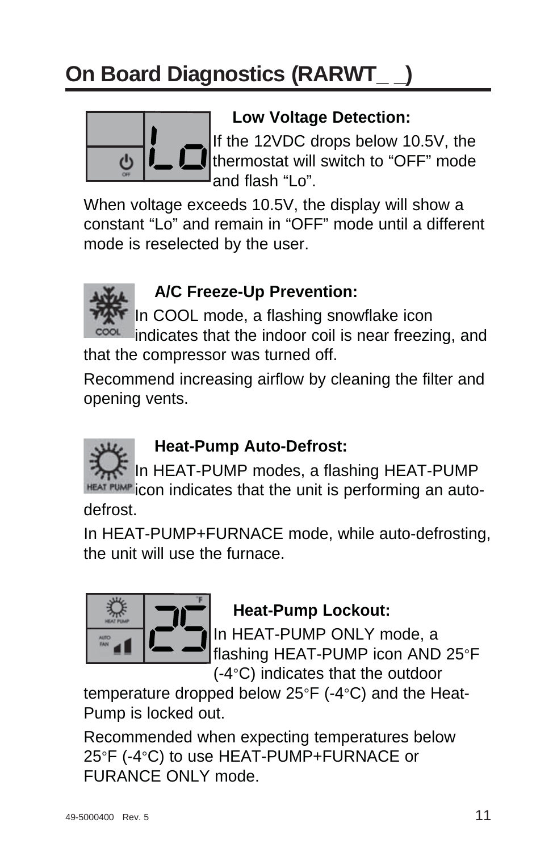# **On Board Diagnostics (RARWT\_ \_)**



### **Low Voltage Detection:**

If the 12VDC drops below 10.5V, the thermostat will switch to "OFF" mode and flash "Lo".

When voltage exceeds 10.5V, the display will show a constant "Lo" and remain in "OFF" mode until a different mode is reselected by the user.



## **A/C Freeze-Up Prevention:**

In COOL mode, a flashing snowflake icon

indicates that the indoor coil is near freezing, and that the compressor was turned off.

Recommend increasing airflow by cleaning the filter and opening vents.

## **Heat-Pump Auto-Defrost:**

In HEAT-PUMP modes, a flashing HEAT-PUMP HEAT PUMP con indicates that the unit is performing an auto-

defrost.

In HEAT-PUMP+FURNACE mode, while auto-defrosting, the unit will use the furnace.



## **Heat-Pump Lockout:**

In HEAT-PUMP ONLY mode, a flashing HEAT-PUMP icon AND 25°F (-4°C) indicates that the outdoor

temperature dropped below 25°F (-4°C) and the Heat-Pump is locked out.

Recommended when expecting temperatures below 25°F (-4°C) to use HEAT-PUMP+FURNACE or FURANCE ONLY mode.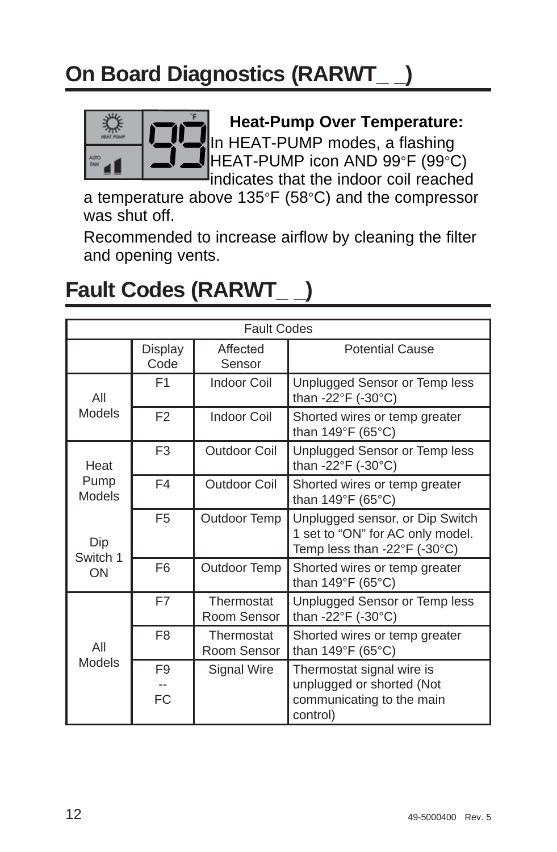# **On Board Diagnostics (RARWT\_ \_)**



### **Heat-Pump Over Temperature:**

In HEAT-PUMP modes, a flashing HEAT-PUMP icon AND 99°F (99°C) indicates that the indoor coil reached

a temperature above 135°F (58°C) and the compressor was shut off.

Recommended to increase airflow by cleaning the filter and opening vents.

# **Fault Codes (RARWT\_ \_)**

|                | <b>Fault Codes</b>          |                           |                                                                                                     |  |  |  |
|----------------|-----------------------------|---------------------------|-----------------------------------------------------------------------------------------------------|--|--|--|
|                | Display<br>Code             | Affected<br>Sensor        | Potential Cause                                                                                     |  |  |  |
| All            | F <sub>1</sub>              | Indoor Coil               | Unplugged Sensor or Temp less<br>than -22°F (-30°C)                                                 |  |  |  |
| Models         | F <sub>2</sub>              | <b>Indoor Coil</b>        | Shorted wires or temp greater<br>than 149°F (65°C)                                                  |  |  |  |
| Heat           | F <sub>3</sub>              | Outdoor Coil              | Unplugged Sensor or Temp less<br>than -22°F (-30°C)                                                 |  |  |  |
| Pump<br>Models | F4                          | Outdoor Coil              | Shorted wires or temp greater<br>than 149°F (65°C)                                                  |  |  |  |
| Dip            | F <sub>5</sub>              | Outdoor Temp              | Unplugged sensor, or Dip Switch<br>1 set to "ON" for AC only model.<br>Temp less than -22°F (-30°C) |  |  |  |
| Switch 1<br>ON | F <sub>6</sub>              | Outdoor Temp              | Shorted wires or temp greater<br>than 149°F (65°C)                                                  |  |  |  |
|                | F7                          | Thermostat<br>Room Sensor | Unplugged Sensor or Temp less<br>than -22°F (-30°C)                                                 |  |  |  |
| All            | F <sub>8</sub>              | Thermostat<br>Room Sensor | Shorted wires or temp greater<br>than 149°F (65°C)                                                  |  |  |  |
| Models         | F <sub>9</sub><br><b>FC</b> | Signal Wire               | Thermostat signal wire is<br>unplugged or shorted (Not<br>communicating to the main<br>control)     |  |  |  |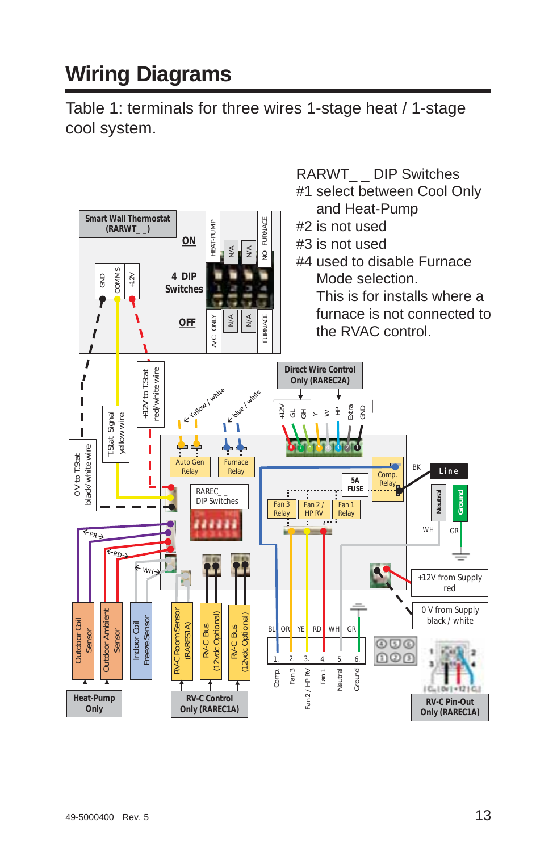# **Wiring Diagrams**

Table 1: terminals for three wires 1-stage heat / 1-stage cool system.

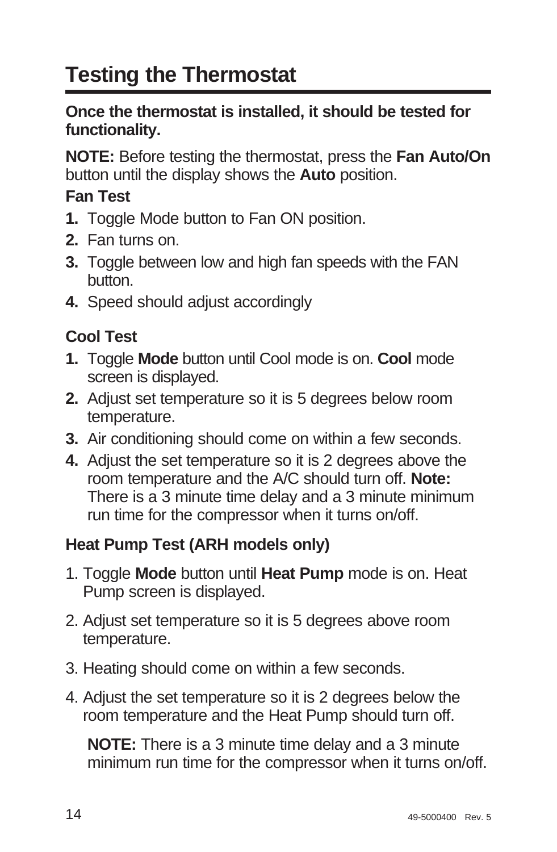# **Testing the Thermostat**

#### **Once the thermostat is installed, it should be tested for functionality.**

**NOTE:** Before testing the thermostat, press the **Fan Auto/On** button until the display shows the **Auto** position.

### **Fan Test**

- **1.** Toggle Mode button to Fan ON position.
- **2.** Fan turns on.
- **3.** Toggle between low and high fan speeds with the FAN button.
- **4.** Speed should adjust accordingly

### **Cool Test**

- **1.** Toggle **Mode** button until Cool mode is on. **Cool** mode screen is displayed.
- **2.** Adjust set temperature so it is 5 degrees below room temperature.
- **3.** Air conditioning should come on within a few seconds.
- **4.** Adjust the set temperature so it is 2 degrees above the room temperature and the A/C should turn off. **Note:** There is a 3 minute time delay and a 3 minute minimum run time for the compressor when it turns on/off.

### **Heat Pump Test (ARH models only)**

- 1. Toggle **Mode** button until **Heat Pump** mode is on. Heat Pump screen is displayed.
- 2. Adjust set temperature so it is 5 degrees above room temperature.
- 3. Heating should come on within a few seconds.
- 4. Adjust the set temperature so it is 2 degrees below the room temperature and the Heat Pump should turn off.

 **NOTE:** There is a 3 minute time delay and a 3 minute minimum run time for the compressor when it turns on/off.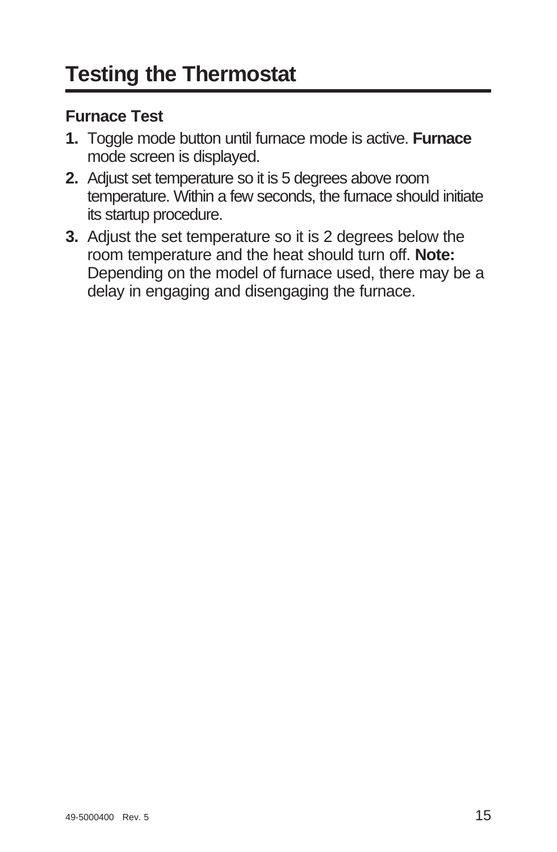### **Furnace Test**

- **1.** Toggle mode button until furnace mode is active. **Furnace** mode screen is displayed.
- **2.** Adjust set temperature so it is 5 degrees above room temperature. Within a few seconds, the furnace should initiate its startup procedure.
- **3.** Adjust the set temperature so it is 2 degrees below the room temperature and the heat should turn off. **Note:** Depending on the model of furnace used, there may be a delay in engaging and disengaging the furnace.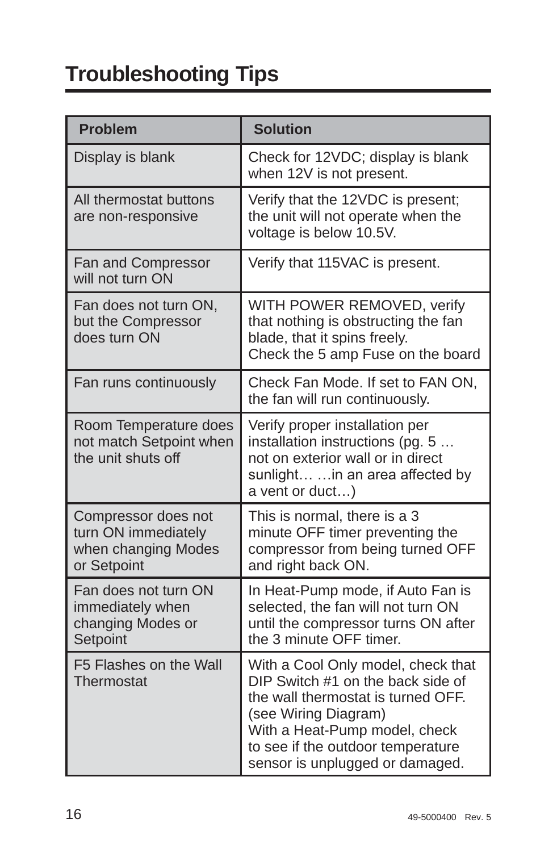# **Troubleshooting Tips**

| <b>Problem</b>                                                                   | <b>Solution</b>                                                                                                                                                                                                                                |
|----------------------------------------------------------------------------------|------------------------------------------------------------------------------------------------------------------------------------------------------------------------------------------------------------------------------------------------|
| Display is blank                                                                 | Check for 12VDC; display is blank<br>when 12V is not present.                                                                                                                                                                                  |
| All thermostat buttons<br>are non-responsive                                     | Verify that the 12VDC is present;<br>the unit will not operate when the<br>voltage is below 10.5V.                                                                                                                                             |
| Fan and Compressor<br>will not turn ON                                           | Verify that 115VAC is present.                                                                                                                                                                                                                 |
| Fan does not turn ON,<br>but the Compressor<br>does turn ON                      | WITH POWER REMOVED, verify<br>that nothing is obstructing the fan<br>blade, that it spins freely.<br>Check the 5 amp Fuse on the board                                                                                                         |
| Fan runs continuously                                                            | Check Fan Mode. If set to FAN ON.<br>the fan will run continuously.                                                                                                                                                                            |
| Room Temperature does<br>not match Setpoint when<br>the unit shuts off           | Verify proper installation per<br>installation instructions (pq. 5<br>not on exterior wall or in direct<br>sunlight  in an area affected by<br>a vent or duct)                                                                                 |
| Compressor does not<br>turn ON immediately<br>when changing Modes<br>or Setpoint | This is normal, there is a 3<br>minute OFF timer preventing the<br>compressor from being turned OFF<br>and right back ON.                                                                                                                      |
| Fan does not turn ON<br>immediately when<br>changing Modes or<br>Setpoint        | In Heat-Pump mode, if Auto Fan is<br>selected, the fan will not turn ON<br>until the compressor turns ON after<br>the 3 minute OFF timer.                                                                                                      |
| F5 Flashes on the Wall<br>Thermostat                                             | With a Cool Only model, check that<br>DIP Switch #1 on the back side of<br>the wall thermostat is turned OFF.<br>(see Wiring Diagram)<br>With a Heat-Pump model, check<br>to see if the outdoor temperature<br>sensor is unplugged or damaged. |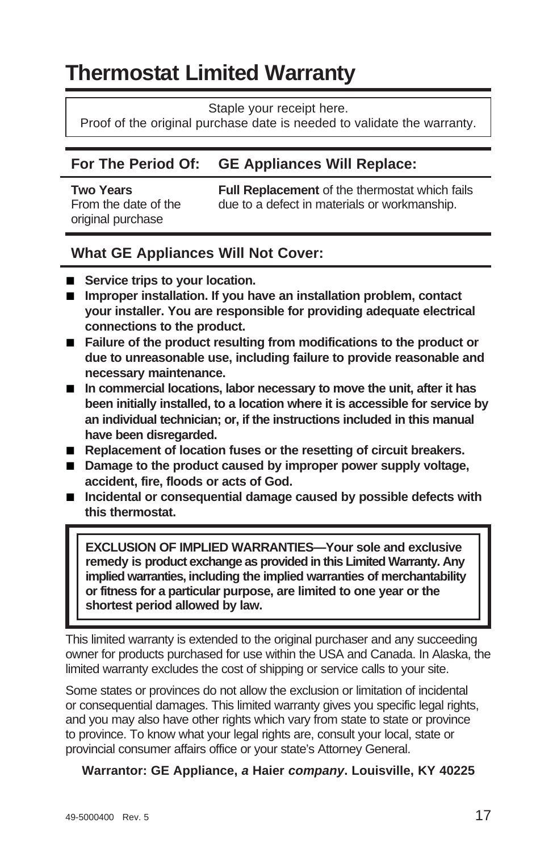# **Thermostat Limited Warranty**

Staple your receipt here.

Proof of the original purchase date is needed to validate the warranty.

#### **For The Period Of: GE Appliances Will Replace:**

original purchase

**Two Years Full Replacement** of the thermostat which fails<br>From the date of the due to a defect in materials or workmanship due to a defect in materials or workmanship.

#### **What GE Appliances Will Not Cover:**

- Service trips to your location.
- Improper installation. If you have an installation problem, contact **your installer. You are responsible for providing adequate electrical connections to the product.**
- **Failure of the product resulting from modifications to the product or due to unreasonable use, including failure to provide reasonable and necessary maintenance.**
- In commercial locations, labor necessary to move the unit, after it has **been initially installed, to a location where it is accessible for service by an individual technician; or, if the instructions included in this manual have been disregarded.**
- Replacement of location fuses or the resetting of circuit breakers.
- Damage to the product caused by improper power supply voltage, **accident, fire, floods or acts of God.**
- Incidental or consequential damage caused by possible defects with **this thermostat.**

**EXCLUSION OF IMPLIED WARRANTIES—Your sole and exclusive remedy is product exchange as provided in this Limited Warranty. Any implied warranties, including the implied warranties of merchantability or fitness for a particular purpose, are limited to one year or the shortest period allowed by law.**

This limited warranty is extended to the original purchaser and any succeeding owner for products purchased for use within the USA and Canada. In Alaska, the limited warranty excludes the cost of shipping or service calls to your site.

Some states or provinces do not allow the exclusion or limitation of incidental or consequential damages. This limited warranty gives you specific legal rights, and you may also have other rights which vary from state to state or province to province. To know what your legal rights are, consult your local, state or provincial consumer affairs office or your state's Attorney General.

#### **Warrantor: GE Appliance,** *a* **Haier** *company***. Louisville, KY 40225**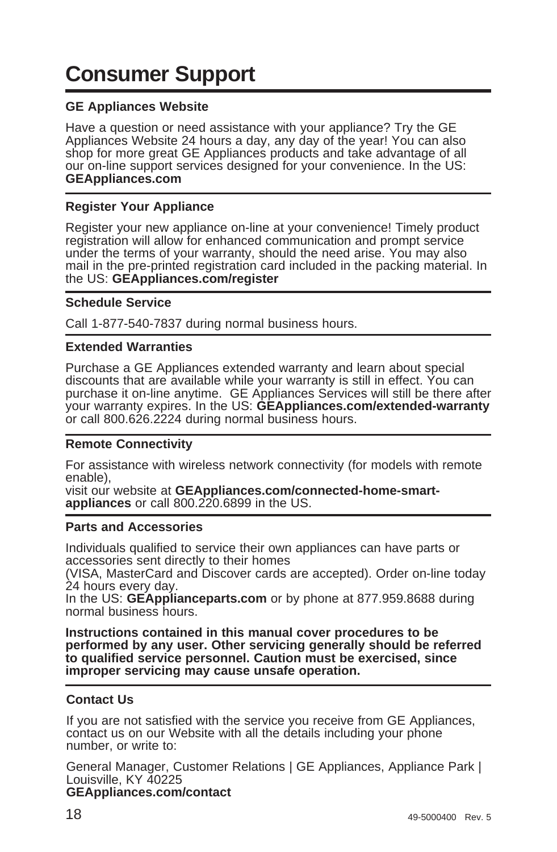# **Consumer Support**

#### **GE Appliances Website**

Have a question or need assistance with your appliance? Try the GE Appliances Website 24 hours a day, any day of the year! You can also shop for more great GE Appliances products and take advantage of all our on-line support services designed for your convenience. In the US: **GEAppliances.com**

#### **Register Your Appliance**

Register your new appliance on-line at your convenience! Timely product registration will allow for enhanced communication and prompt service under the terms of your warranty, should the need arise. You may also mail in the pre-printed registration card included in the packing material. In the US: **GEAppliances.com/register**

#### **Schedule Service**

Call 1-877-540-7837 during normal business hours.

#### **Extended Warranties**

Purchase a GE Appliances extended warranty and learn about special discounts that are available while your warranty is still in effect. You can purchase it on-line anytime. GE Appliances Services will still be there after your warranty expires. In the US: **GEAppliances.com/extended-warranty** or call 800.626.2224 during normal business hours.

#### **Remote Connectivity**

For assistance with wireless network connectivity (for models with remote enable),

visit our website at **GEAppliances.com/connected-home-smartappliances** or call 800.220.6899 in the US.

#### **Parts and Accessories**

Individuals qualified to service their own appliances can have parts or accessories sent directly to their homes

(VISA, MasterCard and Discover cards are accepted). Order on-line today 24 hours every day.

In the US: **GEApplianceparts.com** or by phone at 877.959.8688 during normal business hours.

**Instructions contained in this manual cover procedures to be performed by any user. Other servicing generally should be referred to qualified service personnel. Caution must be exercised, since improper servicing may cause unsafe operation.**

#### **Contact Us**

If you are not satisfied with the service you receive from GE Appliances, contact us on our Website with all the details including your phone number, or write to:

General Manager, Customer Relations | GE Appliances, Appliance Park | Louisville, KY 40225

#### **GEAppliances.com/contact**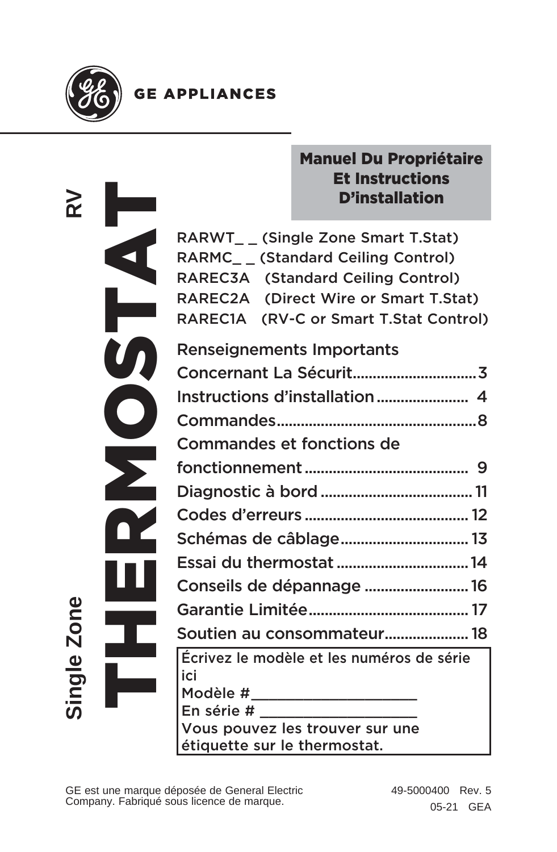

### **GE APPLIANCES**

| غة          |  |
|-------------|--|
|             |  |
|             |  |
|             |  |
| ω<br>٢<br>O |  |
| Single      |  |

## Manuel Du Propriétaire Et Instructions D'installation

RARWT\_ \_ (Single Zone Smart T.Stat) RARMC\_ \_ (Standard Ceiling Control) RAREC3A (Standard Ceiling Control) RAREC2A (Direct Wire or Smart T.Stat) RAREC1A (RV-C or Smart T.Stat Control)

| Renseignements Importants                 |  |
|-------------------------------------------|--|
|                                           |  |
|                                           |  |
|                                           |  |
| Commandes et fonctions de                 |  |
|                                           |  |
|                                           |  |
|                                           |  |
| Schémas de câblage 13                     |  |
| Essai du thermostat  14                   |  |
| Conseils de dépannage  16                 |  |
|                                           |  |
| Soutien au consommateur 18                |  |
| Écrivez le modèle et les numéros de série |  |
| ici<br>Modèle #_____________________      |  |
|                                           |  |

En série # \_\_\_\_\_\_\_\_\_\_\_\_\_\_\_\_\_\_

Vous pouvez les trouver sur une étiquette sur le thermostat.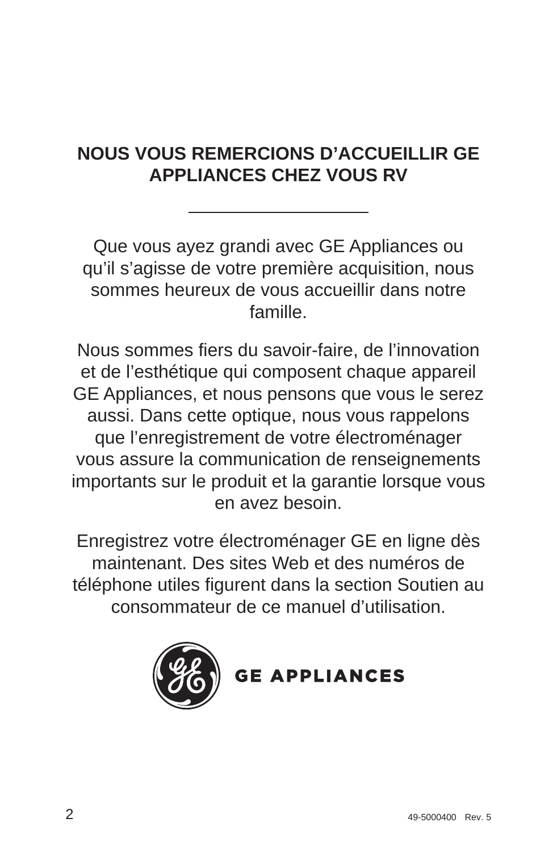## **NOUS VOUS REMERCIONS D'ACCUEILLIR GE APPLIANCES CHEZ VOUS RV**

Que vous ayez grandi avec GE Appliances ou qu'il s'agisse de votre première acquisition, nous sommes heureux de vous accueillir dans notre famille.

Nous sommes fiers du savoir-faire, de l'innovation et de l'esthétique qui composent chaque appareil GE Appliances, et nous pensons que vous le serez aussi. Dans cette optique, nous vous rappelons que l'enregistrement de votre électroménager vous assure la communication de renseignements importants sur le produit et la garantie lorsque vous en avez besoin.

Enregistrez votre électroménager GE en ligne dès maintenant. Des sites Web et des numéros de téléphone utiles figurent dans la section Soutien au consommateur de ce manuel d'utilisation.



**GE APPLIANCES**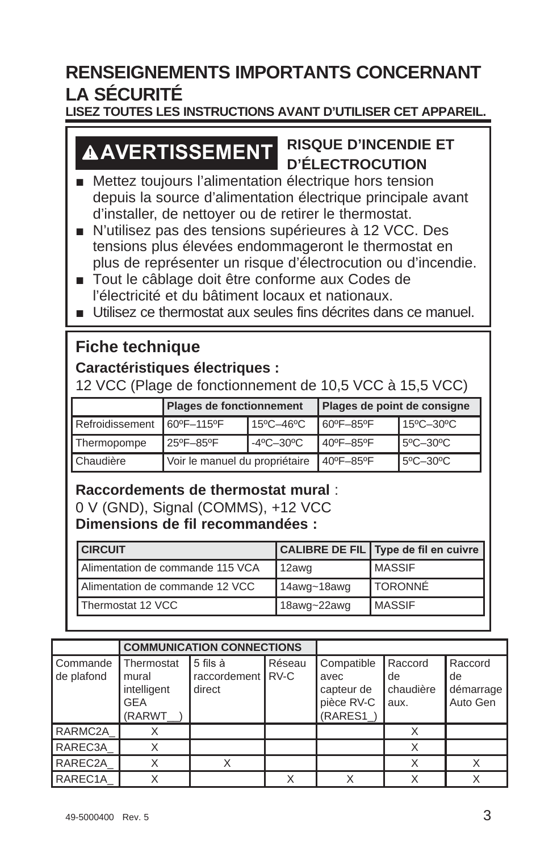## **RENSEIGNEMENTS IMPORTANTS CONCERNANT LA SÉCURITÉ**

#### **LISEZ TOUTES LES INSTRUCTIONS AVANT D'UTILISER CET APPAREIL.**

# **AVERTISSEMENT RISQUE D'INCENDIE ET D'ÉLECTROCUTION**

- Mettez toujours l'alimentation électrique hors tension depuis la source d'alimentation électrique principale avant d'installer, de nettoyer ou de retirer le thermostat.
- N'utilisez pas des tensions supérieures à 12 VCC. Des tensions plus élevées endommageront le thermostat en plus de représenter un risque d'électrocution ou d'incendie.
- Tout le câblage doit être conforme aux Codes de l'électricité et du bâtiment locaux et nationaux.
- Utilisez ce thermostat aux seules fins décrites dans ce manuel.

### **Fiche technique**

#### **Caractéristiques électriques :**

12 VCC (Plage de fonctionnement de 10,5 VCC à 15,5 VCC)

|                              | Plages de fonctionnement       |  | Plages de point de consigne |           |
|------------------------------|--------------------------------|--|-----------------------------|-----------|
| Refroidissement   60°F-115°F | 15°C-46°C                      |  | 60°F-85°F                   | 15°C-30°C |
| Thermopompe                  | -4°C-30°C<br>25°F-85°F         |  | 40°F-85°F                   | 5°C-30°C  |
| Chaudière                    | Voir le manuel du propriétaire |  | 40°F-85°F                   | 5°C-30°C  |

#### **Raccordements de thermostat mural** :

0 V (GND), Signal (COMMS), +12 VCC **Dimensions de fil recommandées :**

| <b>CIRCUIT</b>                   |             | CALIBRE DE FIL Type de fil en cuivre |
|----------------------------------|-------------|--------------------------------------|
| Alimentation de commande 115 VCA | 12awg       | <b>IMASSIF</b>                       |
| Alimentation de commande 12 VCC  | 14awg~18awg | <b>I</b> TORONNÉ                     |
| Thermostat 12 VCC                | 18awg~22awg | <b>IMASSIF</b>                       |

|                        |                                                            | <b>COMMUNICATION CONNECTIONS</b>          |        |                                                            |                                    |                                        |
|------------------------|------------------------------------------------------------|-------------------------------------------|--------|------------------------------------------------------------|------------------------------------|----------------------------------------|
| Commande<br>de plafond | Thermostat<br>mural<br>intelligent<br><b>GEA</b><br>(RARWT | l 5 fils à<br>raccordement RV-C<br>direct | Réseau | Compatible<br>avec<br>capteur de<br>pièce RV-C<br>(RARES1) | Raccord<br>de<br>chaudière<br>aux. | Raccord<br>de<br>démarrage<br>Auto Gen |
| RARMC2A                |                                                            |                                           |        |                                                            |                                    |                                        |
| RAREC3A                |                                                            |                                           |        |                                                            |                                    |                                        |
| RAREC2A                |                                                            | X                                         |        |                                                            |                                    |                                        |
| RAREC1A                |                                                            |                                           |        |                                                            |                                    |                                        |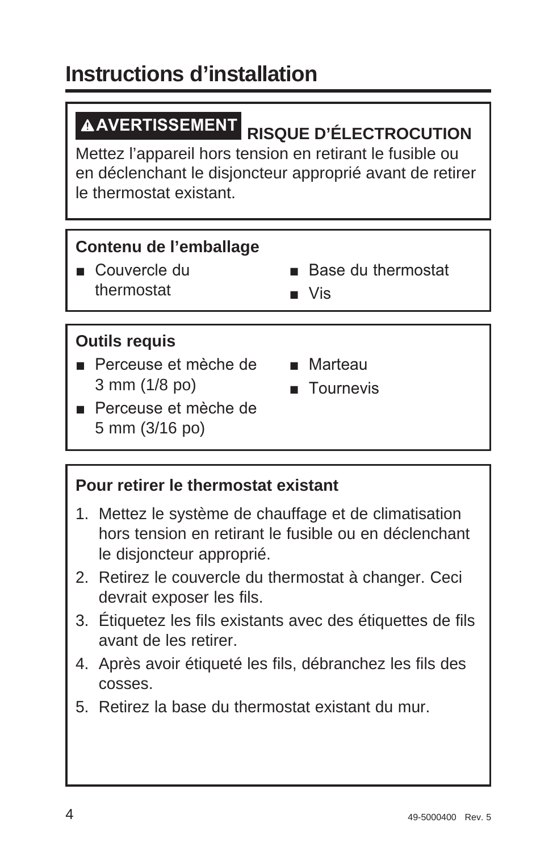# **Instructions d'installation**

**AVERTISSEMENT RISQUE D'ÉLECTROCUTION** 

Mettez l'appareil hors tension en retirant le fusible ou en déclenchant le disjoncteur approprié avant de retirer le thermostat existant.

## **Contenu de l'emballage**

Couvercle du thermostat

- $\blacksquare$  Rase du thermostat
- $\blacksquare$  Vis

## **Outils requis**

- Perceuse et mèche de Marteau 3 mm (1/8 po)
	-
	- $\blacksquare$  Tournevis
- Perceuse et mèche de 5 mm (3/16 po)

#### **Pour retirer le thermostat existant**

- 1. Mettez le système de chauffage et de climatisation hors tension en retirant le fusible ou en déclenchant le disjoncteur approprié.
- 2. Retirez le couvercle du thermostat à changer. Ceci devrait exposer les fils.
- 3. Étiquetez les fils existants avec des étiquettes de fils avant de les retirer.
- 4. Après avoir étiqueté les fils, débranchez les fils des cosses.
- 5. Retirez la base du thermostat existant du mur.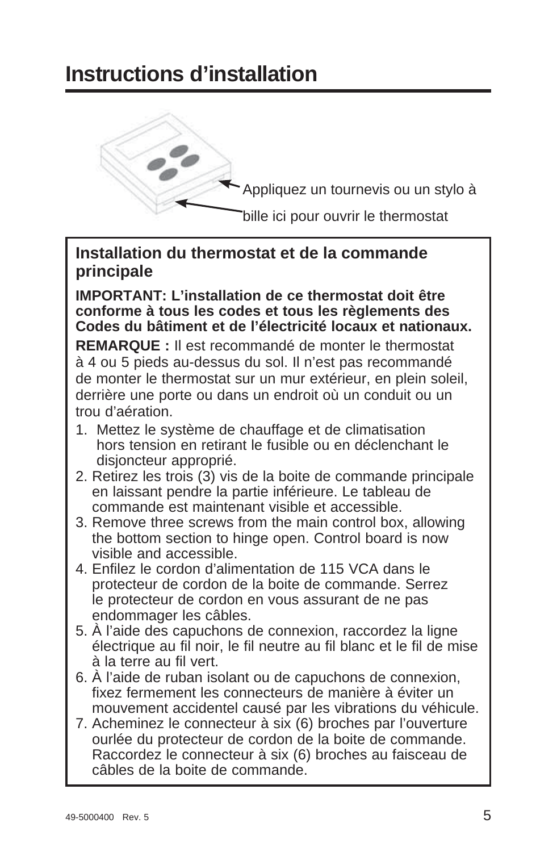# **Instructions d'installation**



Appliquez un tournevis ou un stylo à

bille ici pour ouvrir le thermostat

#### **Installation du thermostat et de la commande principale**

**IMPORTANT: L'installation de ce thermostat doit être conforme à tous les codes et tous les règlements des Codes du bâtiment et de l'électricité locaux et nationaux.**

**REMARQUE :** Il est recommandé de monter le thermostat à 4 ou 5 pieds au-dessus du sol. Il n'est pas recommandé de monter le thermostat sur un mur extérieur, en plein soleil, derrière une porte ou dans un endroit où un conduit ou un trou d'aération.

- 1. Mettez le système de chauffage et de climatisation hors tension en retirant le fusible ou en déclenchant le disjoncteur approprié.
- 2. Retirez les trois (3) vis de la boite de commande principale en laissant pendre la partie inférieure. Le tableau de commande est maintenant visible et accessible.
- 3. Remove three screws from the main control box, allowing the bottom section to hinge open. Control board is now visible and accessible.
- 4. Enfilez le cordon d'alimentation de 115 VCA dans le protecteur de cordon de la boite de commande. Serrez le protecteur de cordon en vous assurant de ne pas endommager les câbles.
- 5. À l'aide des capuchons de connexion, raccordez la ligne électrique au fil noir, le fil neutre au fil blanc et le fil de mise à la terre au fil vert.
- 6. À l'aide de ruban isolant ou de capuchons de connexion, fixez fermement les connecteurs de manière à éviter un mouvement accidentel causé par les vibrations du véhicule.
- 7. Acheminez le connecteur à six (6) broches par l'ouverture ourlée du protecteur de cordon de la boite de commande. Raccordez le connecteur à six (6) broches au faisceau de câbles de la boite de commande.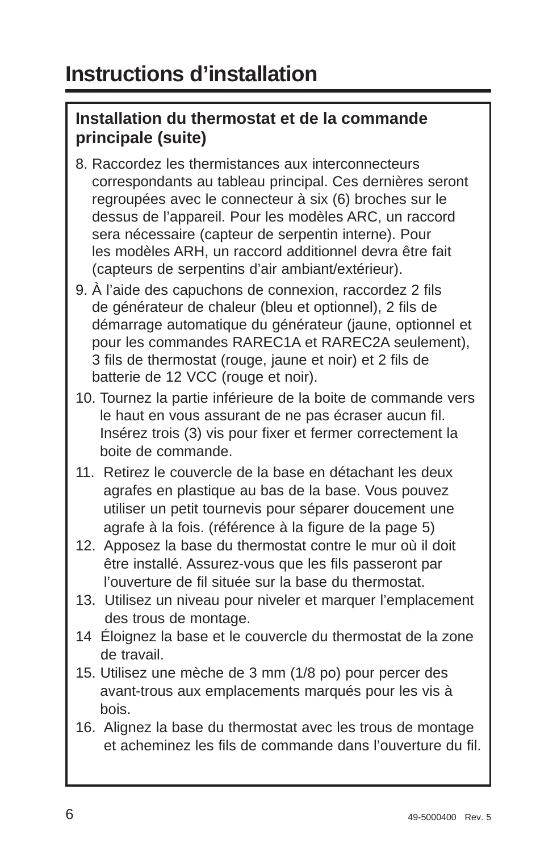### **Installation du thermostat et de la commande principale (suite)**

- 8. Raccordez les thermistances aux interconnecteurs correspondants au tableau principal. Ces dernières seront regroupées avec le connecteur à six (6) broches sur le dessus de l'appareil. Pour les modèles ARC, un raccord sera nécessaire (capteur de serpentin interne). Pour les modèles ARH, un raccord additionnel devra être fait (capteurs de serpentins d'air ambiant/extérieur).
- 9. À l'aide des capuchons de connexion, raccordez 2 fils de générateur de chaleur (bleu et optionnel), 2 fils de démarrage automatique du générateur (jaune, optionnel et pour les commandes RAREC1A et RAREC2A seulement), 3 fils de thermostat (rouge, jaune et noir) et 2 fils de batterie de 12 VCC (rouge et noir).
- 10. Tournez la partie inférieure de la boite de commande vers le haut en vous assurant de ne pas écraser aucun fil. Insérez trois (3) vis pour fixer et fermer correctement la boite de commande.
- 11. Retirez le couvercle de la base en détachant les deux agrafes en plastique au bas de la base. Vous pouvez utiliser un petit tournevis pour séparer doucement une agrafe à la fois. (référence à la figure de la page 5)
- 12. Apposez la base du thermostat contre le mur où il doit être installé. Assurez-vous que les fils passeront par l'ouverture de fil située sur la base du thermostat.
- 13. Utilisez un niveau pour niveler et marquer l'emplacement des trous de montage.
- 14 Éloignez la base et le couvercle du thermostat de la zone de travail.
- 15. Utilisez une mèche de 3 mm (1/8 po) pour percer des avant-trous aux emplacements marqués pour les vis à bois.
- 16. Alignez la base du thermostat avec les trous de montage et acheminez les fils de commande dans l'ouverture du fil.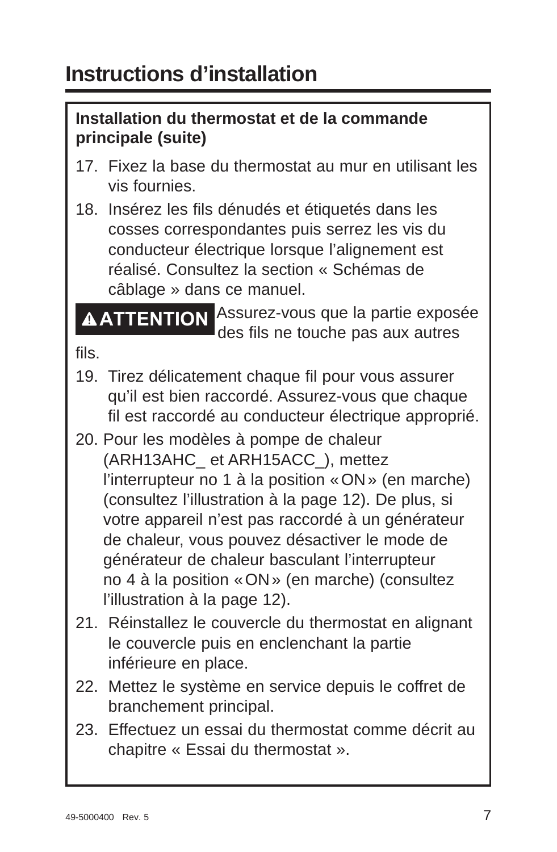### **Installation du thermostat et de la commande principale (suite)**

- 17. Fixez la base du thermostat au mur en utilisant les vis fournies.
- 18. Insérez les fils dénudés et étiquetés dans les cosses correspondantes puis serrez les vis du conducteur électrique lorsque l'alignement est réalisé. Consultez la section « Schémas de câblage » dans ce manuel.

**ATTENTION** Assurez-vous que la partie exposée des fils ne touche pas aux autres

fils.

- 19. Tirez délicatement chaque fil pour vous assurer qu'il est bien raccordé. Assurez-vous que chaque fil est raccordé au conducteur électrique approprié.
- 20. Pour les modèles à pompe de chaleur (ARH13AHC\_ et ARH15ACC\_), mettez l'interrupteur no 1 à la position « ON » (en marche) (consultez l'illustration à la page 12). De plus, si votre appareil n'est pas raccordé à un générateur de chaleur, vous pouvez désactiver le mode de générateur de chaleur basculant l'interrupteur no 4 à la position « ON » (en marche) (consultez l'illustration à la page 12).
- 21. Réinstallez le couvercle du thermostat en alignant le couvercle puis en enclenchant la partie inférieure en place.
- 22. Mettez le système en service depuis le coffret de branchement principal.
- 23. Effectuez un essai du thermostat comme décrit au chapitre « Essai du thermostat ».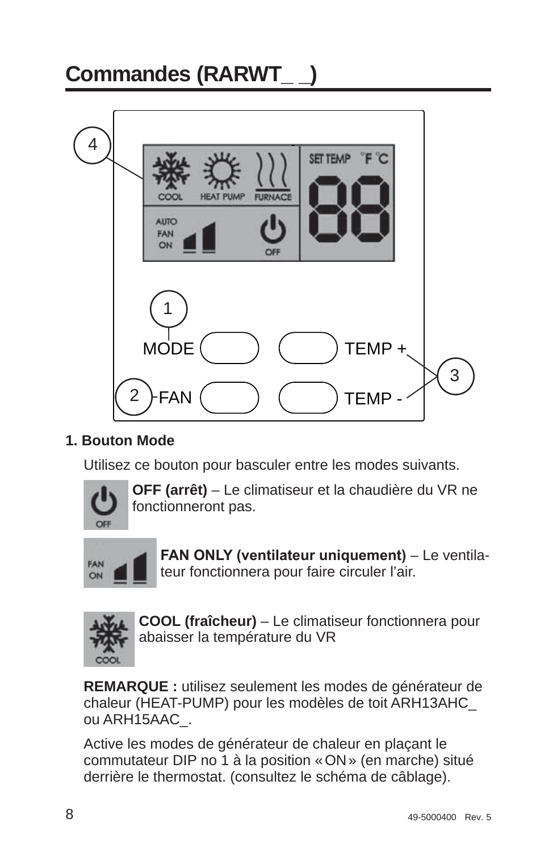# **Commandes (RARWT\_ \_)** 4 SET TEMP HEAT PHMP **FURNACI AUTO** FAN ON 1 **MODE** TEMP + 3 2 FAN TEMP -

#### **1. Bouton Mode**

Utilisez ce bouton pour basculer entre les modes suivants.



 **OFF (arrêt)** – Le climatiseur et la chaudière du VR ne fonctionneront pas.



**FAN ONLY (ventilateur uniquement)** – Le ventilateur fonctionnera pour faire circuler l'air.



 **COOL (fraîcheur)** – Le climatiseur fonctionnera pour abaisser la température du VR

**REMARQUE :** utilisez seulement les modes de générateur de chaleur (HEAT-PUMP) pour les modèles de toit ARH13AHC\_ ou ARH15AAC\_.

Active les modes de générateur de chaleur en plaçant le commutateur DIP no 1 à la position « ON » (en marche) situé derrière le thermostat. (consultez le schéma de câblage).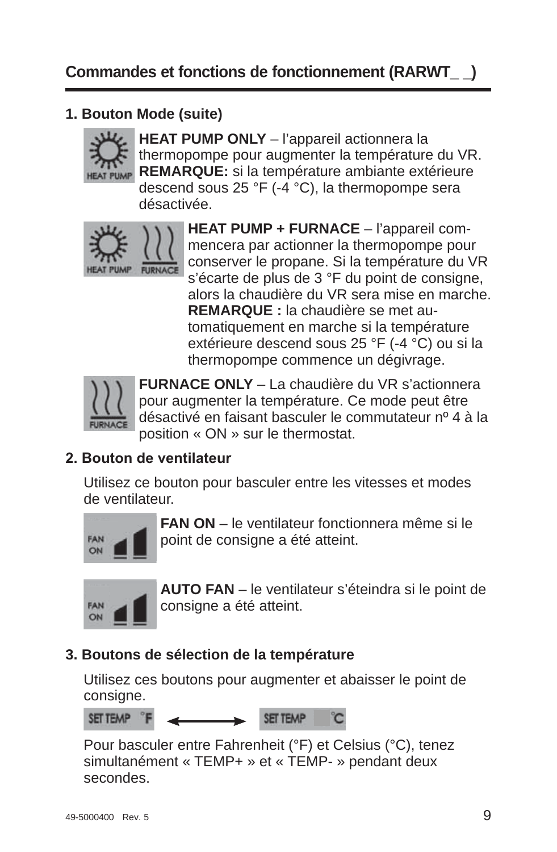### **1. Bouton Mode (suite)**



**HEAT PUMP ONLY** – l'appareil actionnera la thermopompe pour augmenter la température du VR. **REMARQUE:** si la température ambiante extérieure descend sous 25 °F (-4 °C), la thermopompe sera désactivée.



**HEAT PUMP + FURNACE** – l'appareil commencera par actionner la thermopompe pour conserver le propane. Si la température du VR s'écarte de plus de 3 °F du point de consigne, alors la chaudière du VR sera mise en marche. **REMARQUE :** la chaudière se met automatiquement en marche si la température extérieure descend sous 25 °F (-4 °C) ou si la thermopompe commence un dégivrage.



 **FURNACE ONLY** – La chaudière du VR s'actionnera pour augmenter la température. Ce mode peut être désactivé en faisant basculer le commutateur nº 4 à la position « ON » sur le thermostat.

#### 2 **Bouton de ventilateur**

Utilisez ce bouton pour basculer entre les vitesses et modes de ventilateur.



 **FAN ON** – le ventilateur fonctionnera même si le point de consigne a été atteint.



 **AUTO FAN** – le ventilateur s'éteindra si le point de consigne a été atteint.

#### **3. Boutons de sélection de la température**

Utilisez ces boutons pour augmenter et abaisser le point de consigne.

SET TEMP

Pour basculer entre Fahrenheit (°F) et Celsius (°C), tenez simultanément « TEMP+ » et « TEMP- » pendant deux secondes.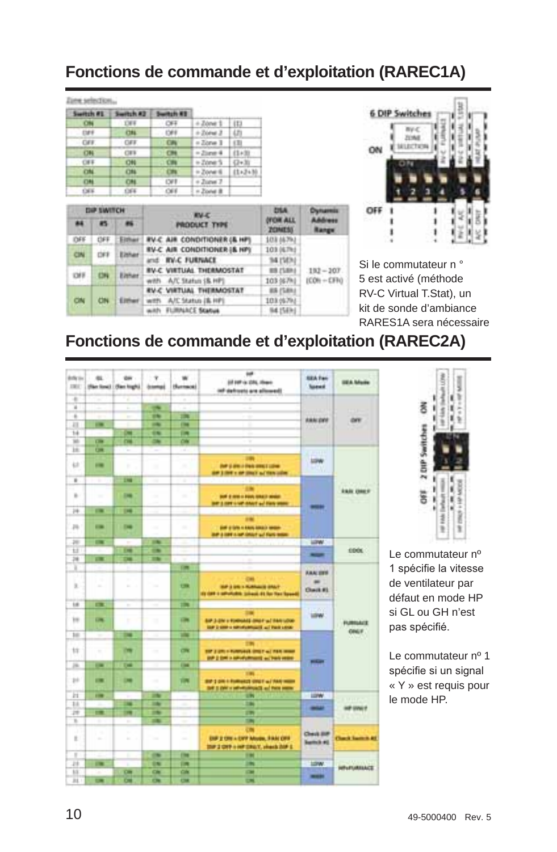### **Fonctions de commande et d'exploitation (RAREC1A)**

|  |  | . . |  |
|--|--|-----|--|
|  |  |     |  |
|  |  |     |  |

| Switch #E   | Switch #3  | <b>Switch #1</b> |                      |               |
|-------------|------------|------------------|----------------------|---------------|
|             | <b>THE</b> | CFE              | $+$ Zóne 1 $\pm$ 113 |               |
| $-120$      | <b>CHL</b> | $-1988$          | $+2$ iona 3   LTI    |               |
| $-$ CAV.    | <b>CAS</b> | <b>CAY</b>       | $= 2$ lorus 3        | (3)           |
| 08          | <b>CES</b> |                  | $=25$ and $4$        | (1+3)         |
| <b>CIFE</b> | (24)       | CHI              | $= 2$ danat S        | $(1 - 3)$     |
| CH          | ON         | <b>CHV</b>       | $= 2$ over 6         | $11 + 3 + 10$ |
| (186        | 1784       | <b>CVT</b>       | $+$ Zuna 7           |               |
| 044         | 1364       | $-000$           | = Zone i             |               |

| <b>DIP SWITCH</b><br>88<br>45 |           |        | <b>EV-C</b>                                   | <b>CYLA</b>                              | <b>Churcassis</b> |
|-------------------------------|-----------|--------|-----------------------------------------------|------------------------------------------|-------------------|
|                               |           |        | <b>PRODUCT TYPE</b>                           | <b><i>DYCHE ALL</i></b><br><b>ZONESS</b> | Advance<br>Eange  |
| DFF                           |           | Either | <b><i>EV-C AIR CONDITIONER (&amp; HP)</i></b> | 103 56793                                |                   |
| ON                            |           | Either | <b>RV-C AIR CONDITIONER I&amp; HPI</b>        | 103 (6.7kd)                              |                   |
|                               |           |        | and <b>IN-C FURNACE</b>                       | 34 (50%)                                 |                   |
| <b>DIE</b>                    | CH        | Either | <b><i>RV-C. VIRTUAL THERMOSTAT</i></b>        | <b>WR ZSRAU</b>                          | $182 - 207$       |
|                               |           |        | with A/C Status (& HP)                        | 103 (67%)                                | $ICON + CFO$      |
|                               |           |        | <b><i>RV-C VIRTUAL THERMOSTAT</i></b>         | <b>BR (SBN)</b>                          |                   |
| CN                            | <b>CN</b> | Elthan | with A/C Status (B. HP)                       | 103.05793                                |                   |
|                               |           |        | with FLIRAACE Status                          | 164.154 kg                               |                   |



Si le commutateur n ° 5 est activé (méthode RV-C Virtual T.Stat), un kit de sonde d'ambiance RARES1A sera nécessaire

## **Fonctions de commande et d'exploitation (RAREC2A)**

| <b>Article</b><br><b>DEC</b> | er.            | <b>OH</b><br>(Ran Sow)   (Ran High) | ÷<br><b><i><u>bampi</u></i></b> | Humani                   | w<br>(if 147 is 231, Heav)<br>ish defineti are allowed!                                           | <b>SEA Park</b><br><b>Search</b>                     | <b>UEA Moin</b>            |
|------------------------------|----------------|-------------------------------------|---------------------------------|--------------------------|---------------------------------------------------------------------------------------------------|------------------------------------------------------|----------------------------|
| ٠                            | $\sim$         | 7                                   |                                 | ٠                        |                                                                                                   |                                                      |                            |
| ×                            | ۰              | E                                   | $\overline{\phantom{a}}$        |                          | ٠                                                                                                 |                                                      |                            |
| ×                            | ۰              | ٠                                   | 194                             | m                        | ÷                                                                                                 | <b>BRACORD</b>                                       | <b>OFF</b>                 |
| 袜                            | <b>COL</b>     |                                     | $\overline{\phantom{a}}$        | <b>Chair</b>             | ٠<br>۰                                                                                            |                                                      |                            |
| 14                           |                | c                                   | 98                              | <b>DR</b>                | ٠                                                                                                 |                                                      |                            |
| <b>SO</b>                    | CHI            | m                                   | $\rightarrow$                   | CH                       | ٠<br>۰                                                                                            |                                                      |                            |
| m                            | $\overline{a}$ | ÷                                   | ÷                               | ×                        | ٠                                                                                                 |                                                      |                            |
| 4.2                          | $\equiv$       | ٠                                   | ٠                               | -----<br>$\sim$          | m<br><b>Bill' (Later A Dark annual Latine</b> )<br>AND \$1999 to the \$1995 to \$1999 collect     | <b>LOW</b><br>m                                      |                            |
| ×                            | т              | m                                   | m                               |                          |                                                                                                   |                                                      |                            |
| ×.                           |                | <b>DOM</b>                          | $\sim$<br>٠                     | $\sim$                   | <br><b>BUT &amp; AND A FOUR SINGS MINOR</b><br>bit I not use that ad two year                     | $\frac{1}{2}$                                        | <b><i>EARLY CHAINS</i></b> |
| 14                           | $\sim$         | œ                                   | ۰                               |                          |                                                                                                   | ٠                                                    |                            |
| p.                           | $\overline{a}$ | <b>DOM</b>                          | $\sim$                          | --<br>$\sim$             | <br><b>SHE &amp; SPR In ANIAN ASKAD MANAGE</b><br><b>Bit 3 little car drive and furn more</b>     |                                                      |                            |
| m                            | $\equiv$       | ٠                                   | 194                             | œ<br>۰                   | ٠                                                                                                 | <b>LEW</b>                                           |                            |
| Ħ                            |                | œ                                   | œ                               | ÷                        | ٠                                                                                                 | -                                                    | <b>COOK</b>                |
| 74                           | œ              | œ                                   | <b>The</b>                      |                          | ×<br>٠                                                                                            |                                                      |                            |
| ×                            | ۰              | ×<br>۰                              |                                 | <b>COM</b>               |                                                                                                   |                                                      |                            |
| ×.                           | ٠<br>$\sim$    | ÷<br>×                              |                                 | $\overline{C}$           | OH<br>THE 2 DR 1 FLANGUE GRAY<br>ity (art a self-of-old to joined) 44 has flow forwell            | <b>ABALISTS</b><br>$\blacksquare$<br><b>Chaik #1</b> |                            |
| is                           | m              | $\sim$                              | $\sim$                          | m                        |                                                                                                   | __                                                   |                            |
| m                            | <b>CHE</b>     | ×                                   | $\mathcal{L}_{\mathcal{A}}$     | <b>City</b>              | SIP 3-2N + FORRIGAS (IRS F W) TAN LOW-<br>THE 2-STEV INFORMATION IS NOT THE LEGAL                 | $1 - 20$<br><b>LOW</b>                               | <b>FURRIACE</b>            |
| 10 <sup>2</sup>              | ۰              | m                                   |                                 | m                        |                                                                                                   |                                                      | <b>ONLY</b>                |
| ts                           | ÷              | m                                   | $\sim$                          | œ                        | <br>THE 2 UNI II FURNISHE STREET AT THIS WANK<br>AND \$1000 in AM of Lifecans and Track owner.    |                                                      |                            |
| m                            | $\sim$         | Two                                 | ٧                               | <b>COM</b>               |                                                                                                   | $-1$                                                 |                            |
| 10                           | <b>COL</b>     | œ                                   | $\sim$                          | ш                        | 191<br>BIFT DON'T FURNISHED STATE W/ PART WERE<br>Bill it shift a sub-interesting and there seems |                                                      |                            |
| н                            | <b>FOR</b>     |                                     | m                               |                          | m                                                                                                 | <b>LEPW</b>                                          |                            |
| 11                           |                | œ                                   | m                               | ٠                        | m                                                                                                 | -                                                    |                            |
| m                            | $\blacksquare$ | m                                   | m                               |                          | m                                                                                                 |                                                      | <b>HP UNIT</b>             |
| ×                            | т              | Ŧ                                   | m                               | ٠                        | m                                                                                                 |                                                      |                            |
| r<br>t.                      | ٠<br>$\sim$    | ×                                   | <b>Sec</b>                      | $\sim$                   | <b>COL</b><br>DIF 2 ON + DFF Music, FAM OFF<br>2007 2 CRP is infr 2002 T. visuals 200F E.         | <b>Clevil Biff</b><br><b>kettch #0</b>               | <b>Class Semin 45</b>      |
| ٠                            |                | ٠                                   | $\overline{a}$                  | <b>Film</b>              | 194                                                                                               |                                                      |                            |
| и                            | $\sim$         | ٠                                   | 19                              | <b>DR</b>                | m                                                                                                 | 10W                                                  | <b>WELFLIATEACE</b>        |
| <b>in</b>                    |                | <b>CHI</b>                          | CH                              | CIN                      | $\sim$                                                                                            | -                                                    |                            |
| $_{\rm H}$                   | ▬              | œ                                   | $\overline{\mathbf{c}}$         | $\overline{\phantom{a}}$ | ш                                                                                                 |                                                      |                            |



Le commutateur nº 1 spécifie la vitesse de ventilateur par défaut en mode HP si GL ou GH n'est pas spécifié.

Le commutateur nº 1 spécifie si un signal « Y » est requis pour le mode HP.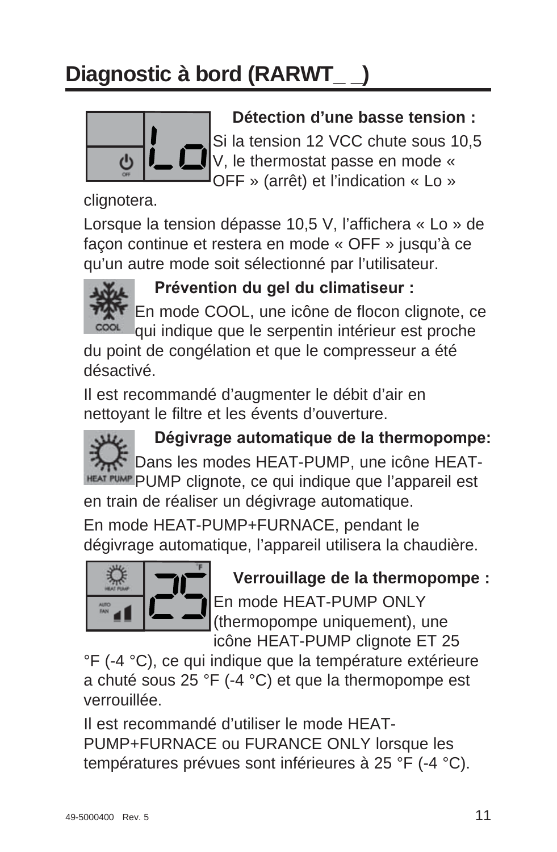# **Diagnostic à bord (RARWT\_ \_)**



### **Détection d'une basse tension :**

Si la tension 12 VCC chute sous 10,5 V, le thermostat passe en mode « OFF » (arrêt) et l'indication « Lo »

clignotera.

Lorsque la tension dépasse 10,5 V, l'affichera « Lo » de façon continue et restera en mode « OFF » jusqu'à ce qu'un autre mode soit sélectionné par l'utilisateur.



**Prévention du gel du climatiseur :** 

En mode COOL, une icône de flocon clignote, ce qui indique que le serpentin intérieur est proche du point de congélation et que le compresseur a été

désactivé.

Il est recommandé d'augmenter le débit d'air en nettoyant le filtre et les évents d'ouverture.

Dégivrage automatique de la thermopompe: we Dans les modes HEAT-PUMP, une icône HEAT-HEAT PUMP Clignote, ce qui indique que l'appareil est en train de réaliser un dégivrage automatique.

En mode HEAT-PUMP+FURNACE, pendant le dégivrage automatique, l'appareil utilisera la chaudière.



 **Verrouillage de la thermopompe :** En mode HEAT-PUMP ONLY (thermopompe uniquement), une

icône HEAT-PUMP clignote ET 25

°F (-4 °C), ce qui indique que la température extérieure a chuté sous 25 °F (-4 °C) et que la thermopompe est verrouillée.

Il est recommandé d'utiliser le mode HEAT-PUMP+FURNACE ou FURANCE ONLY lorsque les températures prévues sont inférieures à 25 °F (-4 °C).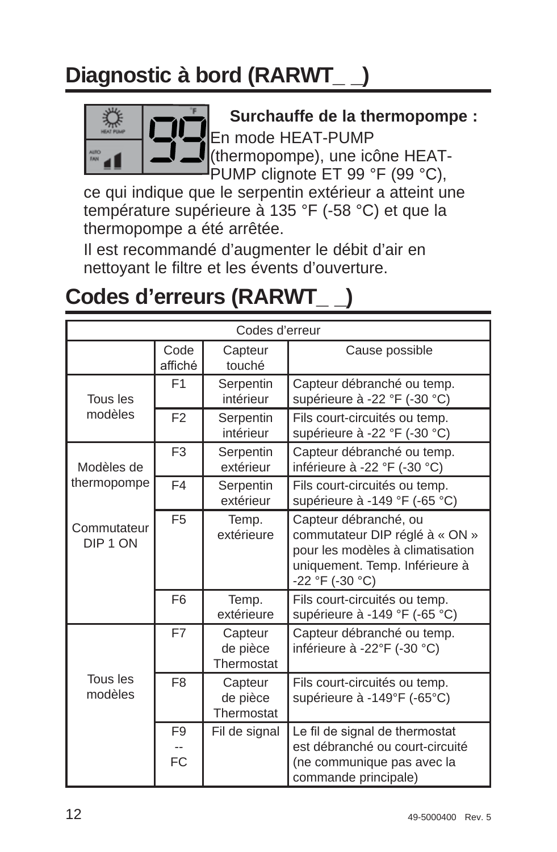# **Diagnostic à bord (RARWT\_ \_)**



 **Surchauffe de la thermopompe :** En mode HEAT-PUMP (thermopompe), une icône HEAT-PUMP clignote ET 99 °F (99 °C),

ce qui indique que le serpentin extérieur a atteint une température supérieure à 135 °F (-58 °C) et que la thermopompe a été arrêtée.

Il est recommandé d'augmenter le débit d'air en nettoyant le filtre et les évents d'ouverture.

# **Codes d'erreurs (RARWT\_ \_)**

|                                    |                      | Codes d'erreur                    |                                                                                                                                                  |
|------------------------------------|----------------------|-----------------------------------|--------------------------------------------------------------------------------------------------------------------------------------------------|
|                                    | Code<br>affiché      | Capteur<br>touché                 | Cause possible                                                                                                                                   |
| Tous les                           | F1                   | Serpentin<br>intérieur            | Capteur débranché ou temp.<br>supérieure à -22 °F (-30 °C)                                                                                       |
| modèles                            | F <sub>2</sub>       | Serpentin<br>intérieur            | Fils court-circuités ou temp.<br>supérieure à -22 °F (-30 °C)                                                                                    |
| Modèles de                         | F <sub>3</sub>       | Serpentin<br>extérieur            | Capteur débranché ou temp.<br>inférieure à -22 °F (-30 °C)                                                                                       |
| thermopompe                        | F <sub>4</sub>       | Serpentin<br>extérieur            | Fils court-circuités ou temp.<br>supérieure à -149 °F (-65 °C)                                                                                   |
| Commutateur<br>DIP <sub>1</sub> ON | F <sub>5</sub>       | Temp.<br>extérieure               | Capteur débranché, ou<br>commutateur DIP réglé à « ON »<br>pour les modèles à climatisation<br>uniquement. Temp. Inférieure à<br>-22 °F (-30 °C) |
|                                    | F <sub>6</sub>       | Temp.<br>extérieure               | Fils court-circuités ou temp.<br>supérieure à -149 °F (-65 °C)                                                                                   |
|                                    | F7                   | Capteur<br>de pièce<br>Thermostat | Capteur débranché ou temp.<br>inférieure à -22°F (-30 °C)                                                                                        |
| Tous les<br>modèles                | F <sub>8</sub>       | Capteur<br>de pièce<br>Thermostat | Fils court-circuités ou temp.<br>supérieure à -149°F (-65°C)                                                                                     |
|                                    | F <sub>9</sub><br>FC | Fil de signal                     | Le fil de signal de thermostat<br>est débranché ou court-circuité<br>(ne communique pas avec la<br>commande principale)                          |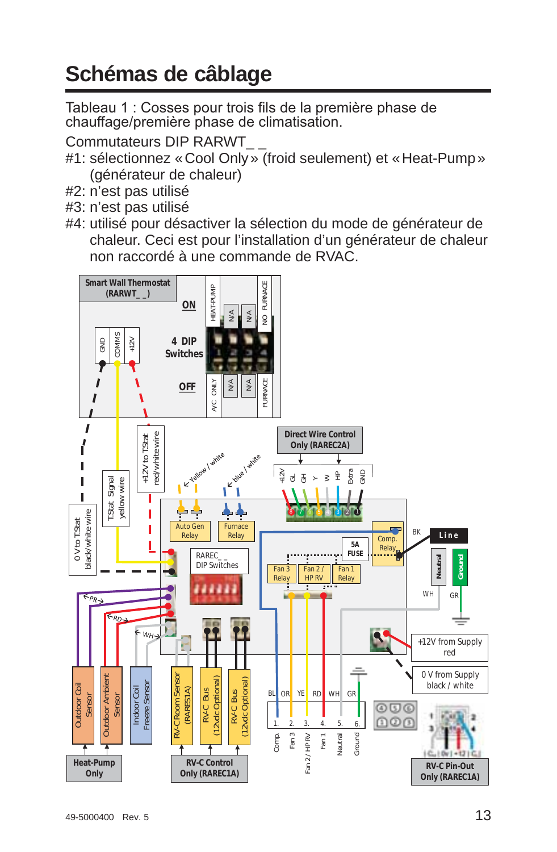# **Schémas de câblage**

Tableau 1 : Cosses pour trois fils de la première phase de chauffage/première phase de climatisation.

Commutateurs DIP RARWT\_ \_

- #1: sélectionnez « Cool Only » (froid seulement) et « Heat-Pump » (générateur de chaleur)
- #2: n'est pas utilisé
- #3: n'est pas utilisé
- #4: utilisé pour désactiver la sélection du mode de générateur de chaleur. Ceci est pour l'installation d'un générateur de chaleur non raccordé à une commande de RVAC.

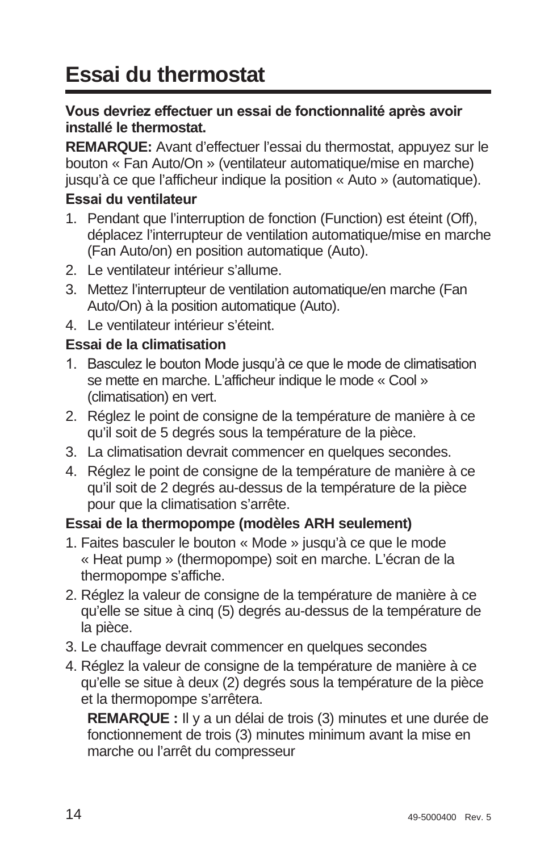# **Essai du thermostat**

#### Vous devriez effectuer un essai de fonctionnalité après avoir **installé le thermostat.**

**REMARQUE:** Avant d'effectuer l'essai du thermostat, appuyez sur le bouton « Fan Auto/On » (ventilateur automatique/mise en marche) jusqu'à ce que l'afficheur indique la position « Auto » (automatique).

#### **Essai du ventilateur**

- 1. Pendant que l'interruption de fonction (Function) est éteint (Off), déplacez l'interrupteur de ventilation automatique/mise en marche (Fan Auto/on) en position automatique (Auto).
- 2. Le ventilateur intérieur s'allume.
- 3. Mettez l'interrupteur de ventilation automatique/en marche (Fan Auto/On) à la position automatique (Auto).
- 4. Le ventilateur intérieur s'éteint.

#### **Essai de la climatisation**

- 1. Basculez le bouton Mode jusqu'à ce que le mode de climatisation se mette en marche. L'afficheur indique le mode « Cool » (climatisation) en vert.
- 2. Réglez le point de consigne de la température de manière à ce qu'il soit de 5 degrés sous la température de la pièce.
- 3. La climatisation devrait commencer en quelques secondes.
- 4. Réglez le point de consigne de la température de manière à ce qu'il soit de 2 degrés au-dessus de la température de la pièce pour que la climatisation s'arrête.

#### **Essai de la thermopompe (modèles ARH seulement)**

- 1. Faites basculer le bouton « Mode » jusqu'à ce que le mode « Heat pump » (thermopompe) soit en marche. L'écran de la thermopompe s'affiche.
- 2. Réglez la valeur de consigne de la température de manière à ce qu'elle se situe à cinq (5) degrés au-dessus de la température de la pièce.
- 3. Le chauffage devrait commencer en quelques secondes
- 4. Réglez la valeur de consigne de la température de manière à ce qu'elle se situe à deux (2) degrés sous la température de la pièce et la thermopompe s'arrêtera.

 **REMARQUE :** Il y a un délai de trois (3) minutes et une durée de fonctionnement de trois (3) minutes minimum avant la mise en marche ou l'arrêt du compresseur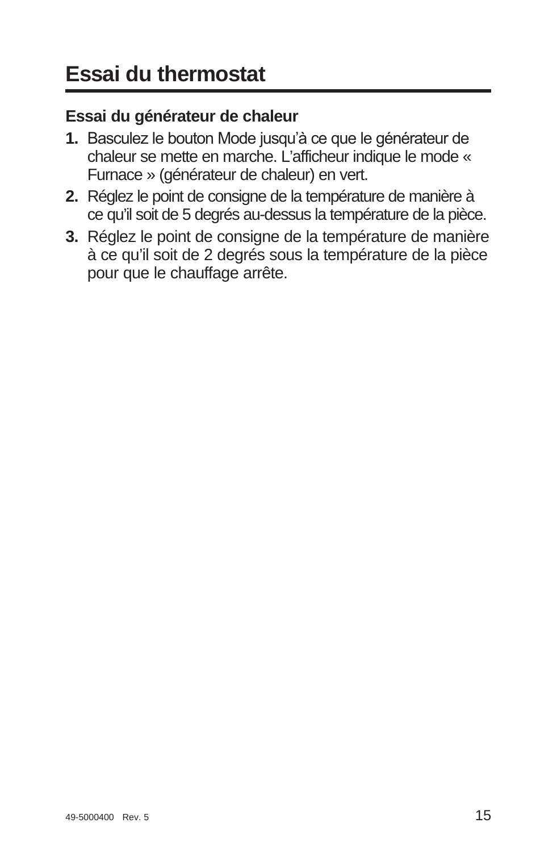### **Essai du générateur de chaleur**

- 1. Basculez le bouton Mode jusqu'à ce que le générateur de chaleur se mette en marche. L'afficheur indique le mode « Furnace » (générateur de chaleur) en vert.
- **2.** Réglez le point de consigne de la température de manière à ce qu'il soit de 5 degrés au-dessus la température de la pièce.
- **3.** Réglez le point de consigne de la température de manière à ce qu'il soit de 2 degrés sous la température de la pièce pour que le chauffage arrête.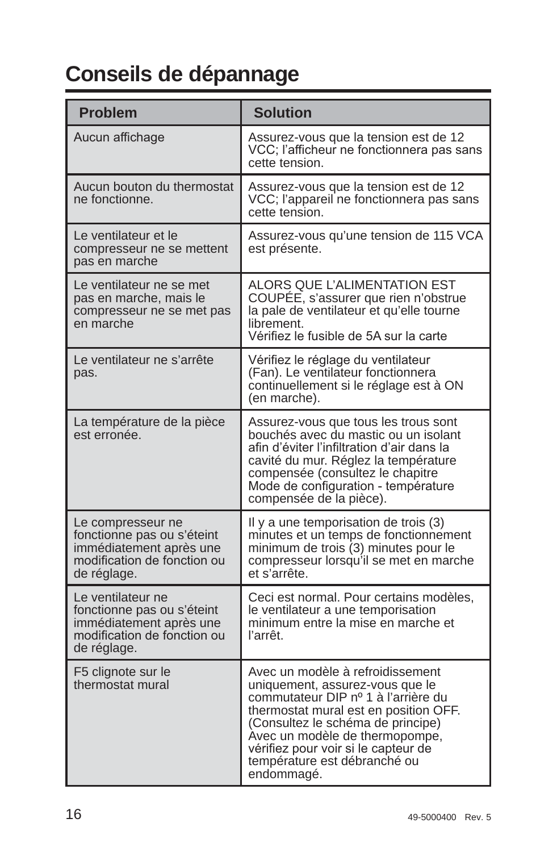# **Conseils de dépannage**

| <b>Problem</b>                                                                                                           | <b>Solution</b>                                                                                                                                                                                                                                                                                                 |
|--------------------------------------------------------------------------------------------------------------------------|-----------------------------------------------------------------------------------------------------------------------------------------------------------------------------------------------------------------------------------------------------------------------------------------------------------------|
| Aucun affichage                                                                                                          | Assurez-vous que la tension est de 12<br>VCC; l'afficheur ne fonctionnera pas sans<br>cette tension.                                                                                                                                                                                                            |
| Aucun bouton du thermostat<br>ne fonctionne.                                                                             | Assurez-vous que la tension est de 12<br>VCC; l'appareil ne fonctionnera pas sans<br>cette tension.                                                                                                                                                                                                             |
| Le ventilateur et le<br>compresseur ne se mettent<br>pas en marche                                                       | Assurez-vous qu'une tension de 115 VCA<br>est présente.                                                                                                                                                                                                                                                         |
| Le ventilateur ne se met<br>pas en marche, mais le<br>compresseur ne se met pas<br>en marche                             | ALORS QUE L'ALIMENTATION EST<br>COUPÉE, s'assurer que rien n'obstrue<br>la pale de ventilateur et qu'elle tourne<br>librement.<br>Vérifiez le fusible de 5A sur la carte                                                                                                                                        |
| Le ventilateur ne s'arrête<br>pas.                                                                                       | Vérifiez le réglage du ventilateur<br>(Fan). Le ventilateur fonctionnera<br>continuellement si le réglage est à ON<br>(en marche).                                                                                                                                                                              |
| La température de la pièce<br>est erronée.                                                                               | Assurez-vous que tous les trous sont<br>bouchés avec du mastic ou un isolant<br>afin d'éviter l'infiltration d'air dans la<br>cavité du mur. Réglez la température<br>compensée (consultez le chapitre<br>Mode de configuration - température<br>compensée de la pièce).                                        |
| Le compresseur ne<br>fonctionne pas ou s'éteint<br>immédiatement après une<br>modification de fonction ou<br>de réglage. | Il y a une temporisation de trois (3)<br>minutes et un temps de fonctionnement<br>minimum de trois (3) minutes pour le<br>compresseur lorsqu'il se met en marche<br>et s'arrête.                                                                                                                                |
| Le ventilateur ne<br>fonctionne pas ou s'éteint<br>immédiatement après une<br>modification de fonction ou<br>de réglage. | Ceci est normal. Pour certains modèles,<br>le ventilateur a une temporisation<br>minimum entre la mise en marche et<br>l'arrêt                                                                                                                                                                                  |
| F5 clignote sur le<br>thermostat mural                                                                                   | Avec un modèle à refroidissement<br>uniquement, assurez-vous que le<br>commutateur DIP nº 1 à l'arrière du<br>thermostat mural est en position OFF.<br>(Consultez le schéma de principe)<br>Avec un modèle de thermopompe,<br>vérifiez pour voir si le capteur de<br>température est débranché ou<br>endommagé. |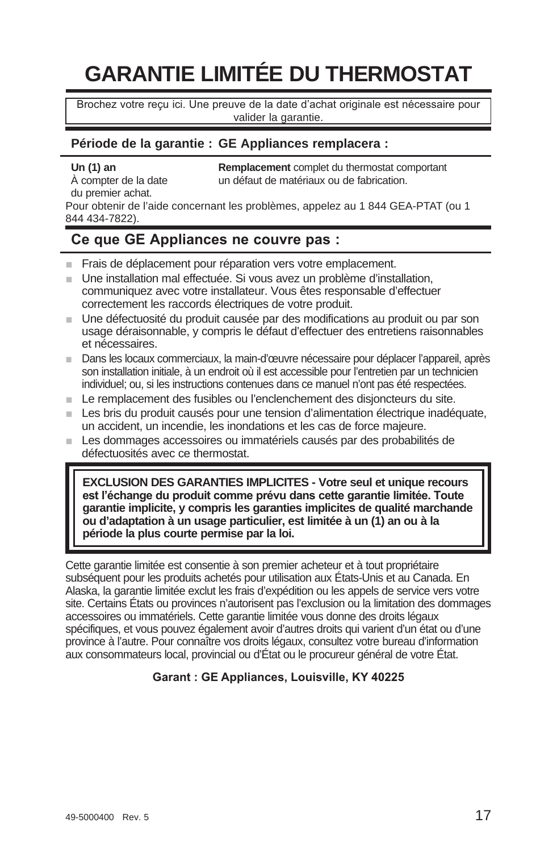# **GARANTIE LIMITÉE DU THERMOSTAT**

Brochez votre reçu ici. Une preuve de la date d'achat originale est nécessaire pour valider la garantie.

#### **Période de la garantie : GE Appliances remplacera :**

du premier achat.

**Un (1) an Remplacement** complet du thermostat comportant  $\lambda$  compter de la date **component** in défaut de matériaux ou de fabrication. un défaut de matériaux ou de fabrication.

Pour obtenir de l'aide concernant les problèmes, appelez au 1 844 GEA-PTAT (ou 1 844 434-7822).

#### Ce que GE Appliances ne couvre pas :

- Frais de déplacement pour réparation vers votre emplacement.
- $\blacksquare$  Une installation mal effectuée. Si vous avez un problème d'installation, communiquez avec votre installateur. Vous êtes responsable d'effectuer correctement les raccords électriques de votre produit.
- $\blacksquare$  Une défectuosité du produit causée par des modifications au produit ou par son usage déraisonnable, y compris le défaut d'effectuer des entretiens raisonnables et nécessaires.
- Dans les locaux commerciaux, la main-d'œuvre nécessaire pour déplacer l'appareil, après son installation initiale, à un endroit où il est accessible pour l'entretien par un technicien individuel; ou, si les instructions contenues dans ce manuel n'ont pas été respectées.
- E Le remplacement des fusibles ou l'enclenchement des disioncteurs du site.
- $\blacksquare$  Les bris du produit causés pour une tension d'alimentation électrique inadéquate, un accident, un incendie, les inondations et les cas de force majeure.
- Les dommages accessoires ou immatériels causés par des probabilités de défectuosités avec ce thermostat.

**EXCLUSION DES GARANTIES IMPLICITES - Votre seul et unique recours**  est l'échange du produit comme prévu dans cette garantie limitée. Toute **garantie implicite, y compris les garanties implicites de qualité marchande ou d'adaptation à un usage particulier, est limitée à un (1) an ou à la période la plus courte permise par la loi.**

Cette garantie limitée est consentie à son premier acheteur et à tout propriétaire subséquent pour les produits achetés pour utilisation aux États-Unis et au Canada. En Alaska, la garantie limitée exclut les frais d'expédition ou les appels de service vers votre site. Certains États ou provinces n'autorisent pas l'exclusion ou la limitation des dommages accessoires ou immatériels. Cette garantie limitée vous donne des droits légaux spécifiques, et vous pouvez également avoir d'autres droits qui varient d'un état ou d'une province à l'autre. Pour connaître vos droits légaux, consultez votre bureau d'information aux consommateurs local, provincial ou d'État ou le procureur général de votre État.

#### **Garant: GE Appliances, Louisville, KY 40225**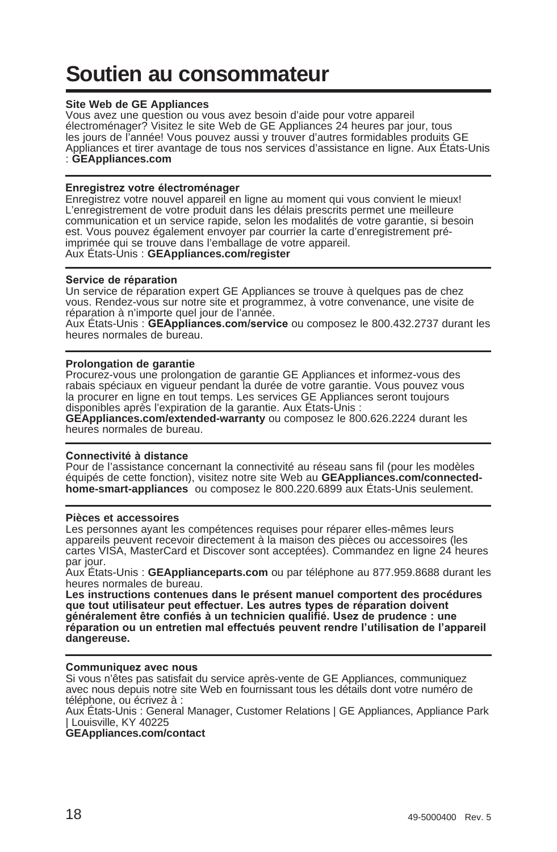# **Soutien au consommateur**

#### **Site Web de GE Appliances**

Vous avez une question ou vous avez besoin d'aide pour votre appareil électroménager? Visitez le site Web de GE Appliances 24 heures par jour, tous les jours de l'année! Vous pouvez aussi y trouver d'autres formidables produits GE Appliances et tirer avantage de tous nos services d'assistance en ligne. Aux États-Unis : **GEAppliances.com**

#### **Enregistrez votre électroménager**

Enregistrez votre nouvel appareil en ligne au moment qui vous convient le mieux! L'enregistrement de votre produit dans les délais prescrits permet une meilleure communication et un service rapide, selon les modalités de votre garantie, si besoin est. Vous pouvez également envoyer par courrier la carte d'enregistrement préimprimée qui se trouve dans l'emballage de votre appareil. Aux États-Unis : **GEAppliances.com/register**

#### **Service de réparation**

Un service de réparation expert GE Appliances se trouve à quelques pas de chez vous. Rendez-vous sur notre site et programmez, à votre convenance, une visite de réparation à n'importe quel jour de l'année.

Aux États-Unis : GEAppl**iances.com/service** ou composez le 800.432.2737 durant les<br>heures normales de bureau.

#### **Prolongation de garantie**

Procurez-vous une prolongation de garantie GE Appliances et informez-vous des rabais spéciaux en vigueur pendant la durée de votre garantie. Vous pouvez vous la procurer en ligne en tout temps. Les services GE Appliances seront toujours disponibles après l'expiration de la garantie. Aux États-Unis :

**GEAppliances.com/extended-warranty** ou composez le 800.626.2224 durant les heures normales de bureau.

#### Connectivité à distance

Pour de l'assistance concernant la connectivité au réseau sans fil (pour les modèles équipés de cette fonction), visitez notre site Web au **GEAppliances.com/connectedhome-smart-appliances** ou composez le 800.220.6899 aux États-Unis seulement.

#### **Pièces et accessoires**

Les personnes ayant les compétences requises pour réparer elles-mêmes leurs appareils peuvent recevoir directement à la maison des pièces ou accessoires (les cartes VISA, MasterCard et Discover sont acceptées). Commandez en ligne 24 heures par jour.

Aux États-Unis : **GEApplianceparts.com** ou par téléphone au 877.959.8688 durant les heures normales de bureau.

**Les instructions contenues dans le présent manuel comportent des procédures**  que tout utilisateur peut effectuer. Les autres types de réparation doivent généralement être confiés à un technicien qualifié. Usez de prudence : une réparation ou un entretien mal effectués peuvent rendre l'utilisation de l'appareil **dangereuse.**

#### Communiquez avec nous

Si vous n'êtes pas satisfait du service après-vente de GE Appliances, communiquez avec nous depuis notre site Web en fournissant tous les détails dont votre numéro de téléphone, ou écrivez à :

Aux États-Unis : General Manager, Customer Relations | GE Appliances, Appliance Park | Louisville, KY 40225

**GEAppliances.com/contact**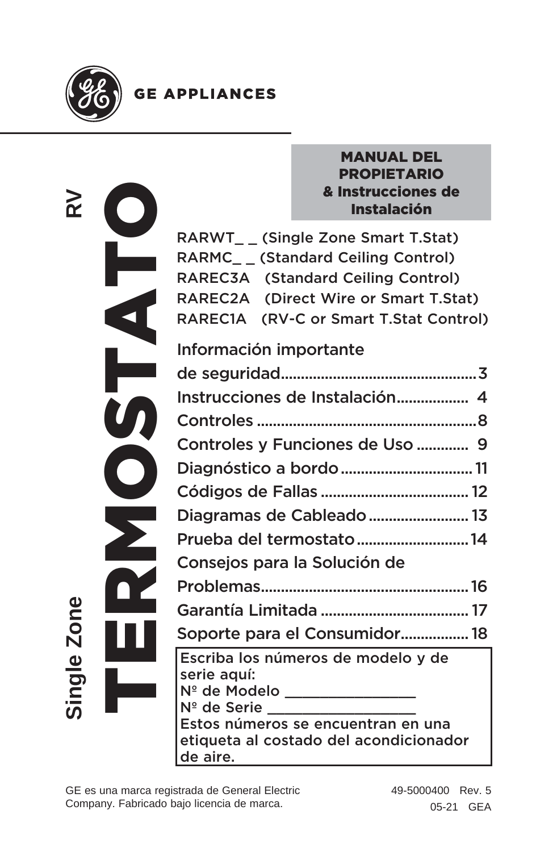

## **GE APPLIANCES**

| œ           |  |
|-------------|--|
|             |  |
|             |  |
|             |  |
|             |  |
|             |  |
|             |  |
| <u>o</u>    |  |
| Φ           |  |
| cinal<br>I, |  |

#### MANUAL DEL PROPIETARIO & Instrucciones de Instalación

RARWT\_ \_ (Single Zone Smart T.Stat) RARMC\_ \_ (Standard Ceiling Control) RAREC3A (Standard Ceiling Control) RAREC2A (Direct Wire or Smart T.Stat) RAREC1A (RV-C or Smart T.Stat Control)

## Información importante

| Instrucciones de Instalación 4                                                                                                            |
|-------------------------------------------------------------------------------------------------------------------------------------------|
|                                                                                                                                           |
| Controles y Funciones de Uso  9                                                                                                           |
| Diagnóstico a bordo  11                                                                                                                   |
|                                                                                                                                           |
| Diagramas de Cableado  13                                                                                                                 |
| Prueba del termostato14                                                                                                                   |
| Consejos para la Solución de                                                                                                              |
|                                                                                                                                           |
|                                                                                                                                           |
| Soporte para el Consumidor 18                                                                                                             |
| Escriba los números de modelo y de<br>serie aquí:<br>Nº de Modelo ______________                                                          |
| $N^{\circ}$ de Serie $\overline{\phantom{a}}$<br>Estos números se encuentran en una<br>etiqueta al costado del acondicionador<br>de aire. |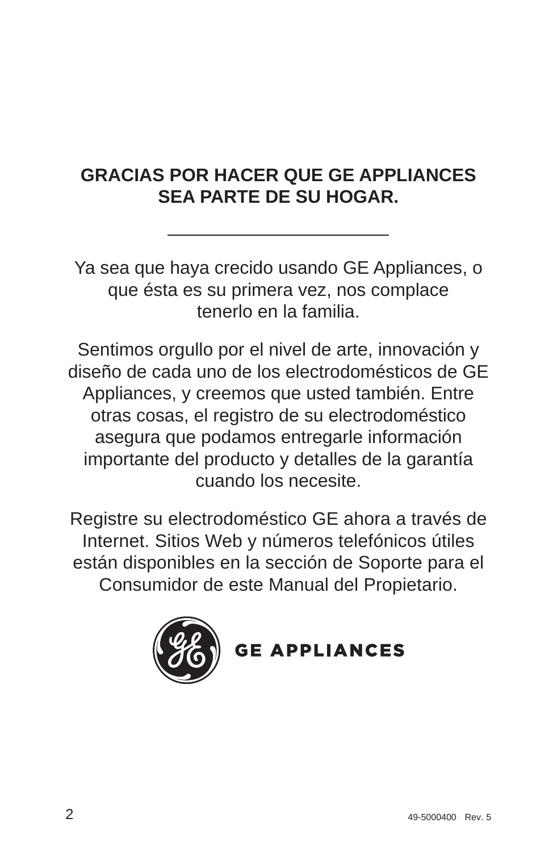## **GRACIAS POR HACER QUE GE APPLIANCES SEA PARTE DE SU HOGAR.**

Ya sea que haya crecido usando GE Appliances, o que ésta es su primera vez, nos complace tenerlo en la familia.

Sentimos orgullo por el nivel de arte, innovación y diseño de cada uno de los electrodomésticos de GE Appliances, y creemos que usted también. Entre otras cosas, el registro de su electrodoméstico asegura que podamos entregarle información importante del producto y detalles de la garantía cuando los necesite.

Registre su electrodoméstico GE ahora a través de Internet. Sitios Web y números telefónicos útiles están disponibles en la sección de Soporte para el Consumidor de este Manual del Propietario.



**GE APPLIANCES**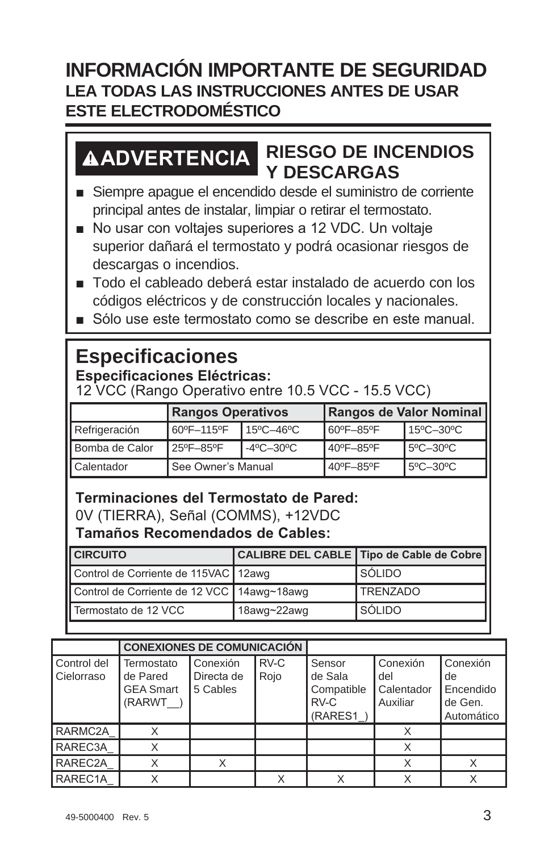## **INFORMACIÓN IMPORTANTE DE SEGURIDAD LEA TODAS LAS INSTRUCCIONES ANTES DE USAR ESTE ELECTRODOMÉSTICO**

## **ADVERTENCIA RIESGO DE INCENDIOS Y DESCARGAS**

- Siempre apague el encendido desde el suministro de corriente principal antes de instalar, limpiar o retirar el termostato.
- No usar con voltajes superiores a 12 VDC. Un voltaje superior dañará el termostato y podrá ocasionar riesgos de descargas o incendios.
- Todo el cableado deberá estar instalado de acuerdo con los códigos eléctricos y de construcción locales y nacionales.
- $\blacksquare$  Sólo use este termostato como se describe en este manual

## **Especificaciones**

### **Especificaciones Eléctricas:**

12 VCC (Rango Operativo entre 10.5 VCC - 15.5 VCC)

|                | <b>Rangos Operativos</b> |                                | Rangos de Valor Nominal |           |  |
|----------------|--------------------------|--------------------------------|-------------------------|-----------|--|
| Refrigeración  | 60°F-115°F<br>15°C-46°C  |                                | 60°F-85°F               | 15°C-30°C |  |
| Bomba de Calor | 25°F-85°F                | $-4^{\circ}$ C $-30^{\circ}$ C | 40°F-85°F               | 5°C-30°C  |  |
| Calentador     | See Owner's Manual       |                                | 40°F-85°F               | 5°C-30°C  |  |

#### **Terminaciones del Termostato de Pared:** 0V (TIERRA), Señal (COMMS), +12VDC

**Tamaños Recomendados de Cables:** 

| <b>CIRCUITO</b>                            |             | CALIBRE DEL CABLE   Tipo de Cable de Cobre |
|--------------------------------------------|-------------|--------------------------------------------|
| Control de Corriente de 115VAC   12awg     |             | <b>S</b> ÓLIDO                             |
| Control de Corriente de 12 VCC 14awg~18awg |             | <b>TRENZADO</b>                            |
| Termostato de 12 VCC                       | 18awg~22awg | <b>I</b> SÓLIDO                            |

|                           | <b>CONEXIONES DE COMUNICACIÓN</b>                    |                                    |              |                                                    |                                           |                                                      |
|---------------------------|------------------------------------------------------|------------------------------------|--------------|----------------------------------------------------|-------------------------------------------|------------------------------------------------------|
| Control del<br>Cielorraso | Termostato<br>de Pared<br><b>GEA Smart</b><br>(RARWT | Conexión<br>Directa de<br>5 Cables | RV-C<br>Rojo | Sensor<br>de Sala<br>Compatible<br>RV-C<br>(RARES1 | Conexión<br>del<br>Calentador<br>Auxiliar | Conexión<br>de<br>Encendido<br>de Gen.<br>Automático |
| RARMC2A                   |                                                      |                                    |              |                                                    |                                           |                                                      |
| RAREC3A                   |                                                      |                                    |              |                                                    | X                                         |                                                      |
| RAREC2A                   |                                                      |                                    |              |                                                    |                                           |                                                      |
| RAREC1A                   |                                                      |                                    |              |                                                    | Χ                                         |                                                      |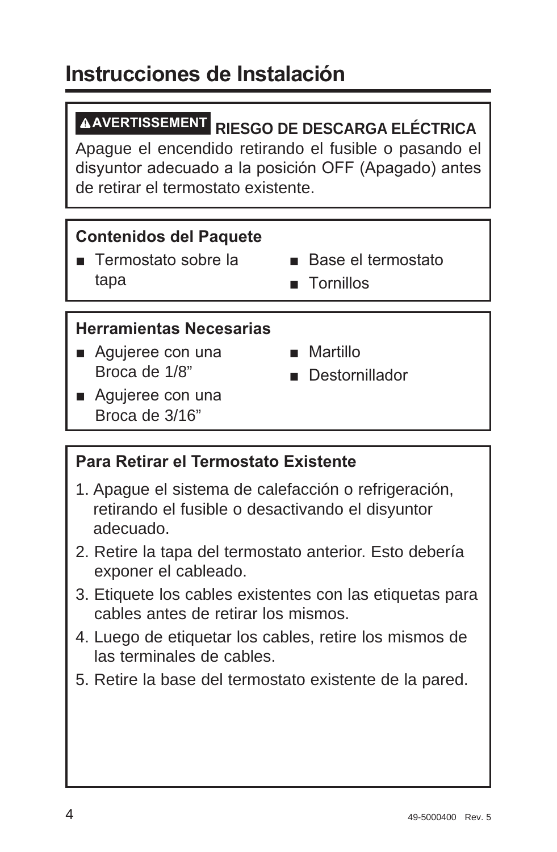# Instrucciones de Instalación

# **AVERTISSEMENT RIESGO DE DESCARGA ELÉCTRICA**

Apague el encendido retirando el fusible o pasando el disyuntor adecuado a la posición OFF (Apagado) antes de retirar el termostato existente.

#### **Contenidos del Paquete**

- $\blacksquare$  Termostato sobre la tapa
- $\blacksquare$  Base el termostato
	- $\blacksquare$  Tornillos

#### **Herramientas Necesarias**

- Agujeree con una Broca de 1/8"
- $Martillo$
- **n** Destornillador
- $\blacksquare$  Aquieree con una Broca de 3/16"

#### **Para Retirar el Termostato Existente**

- 1. Apague el sistema de calefacción o refrigeración, retirando el fusible o desactivando el disyuntor adecuado.
- 2. Retire la tapa del termostato anterior. Esto debería exponer el cableado.
- 3. Etiquete los cables existentes con las etiquetas para cables antes de retirar los mismos.
- 4. Luego de etiquetar los cables, retire los mismos de las terminales de cables.
- 5. Retire la base del termostato existente de la pared.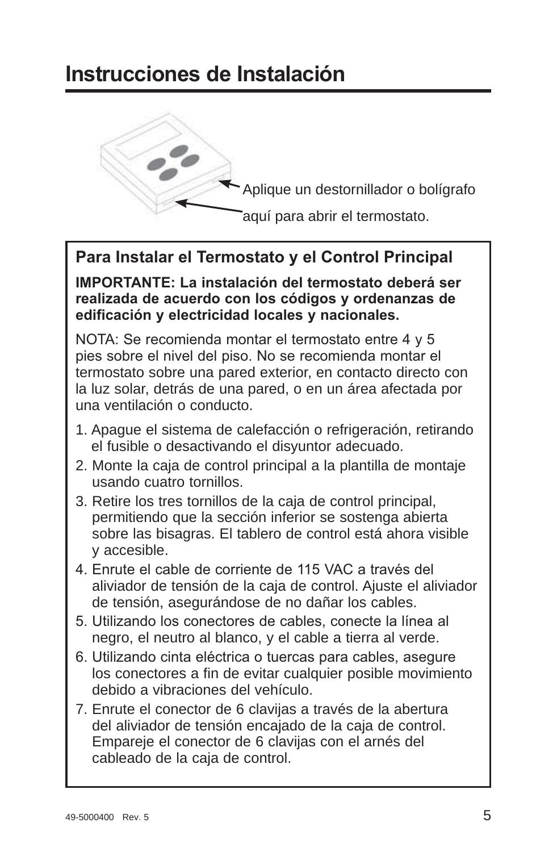# Instrucciones de Instalación



Aplique un destornillador o bolígrafo

aquí para abrir el termostato.

### Para Instalar el Termostato y el Control Principal

**IMPORTANTE: La instalación del termostato deberá ser** realizada de acuerdo con los códigos y ordenanzas de edificación y electricidad locales y nacionales.

NOTA: Se recomienda montar el termostato entre 4 y 5 pies sobre el nivel del piso. No se recomienda montar el termostato sobre una pared exterior, en contacto directo con la luz solar, detrás de una pared, o en un área afectada por una ventilación o conducto.

- 1. Apague el sistema de calefacción o refrigeración, retirando el fusible o desactivando el disyuntor adecuado.
- 2. Monte la caja de control principal a la plantilla de montaje usando cuatro tornillos.
- 3. Retire los tres tornillos de la caja de control principal, permitiendo que la sección inferior se sostenga abierta sobre las bisagras. El tablero de control está ahora visible y accesible.
- 4. Enrute el cable de corriente de 115 VAC a través del aliviador de tensión de la caja de control. Ajuste el aliviador de tensión, asegurándose de no dañar los cables.
- 5. Utilizando los conectores de cables, conecte la línea al negro, el neutro al blanco, y el cable a tierra al verde.
- 6. Utilizando cinta eléctrica o tuercas para cables, asegure los conectores a fin de evitar cualquier posible movimiento debido a vibraciones del vehículo.
- 7. Enrute el conector de 6 clavijas a través de la abertura del aliviador de tensión encajado de la caja de control. Empareje el conector de 6 clavijas con el arnés del cableado de la caja de control.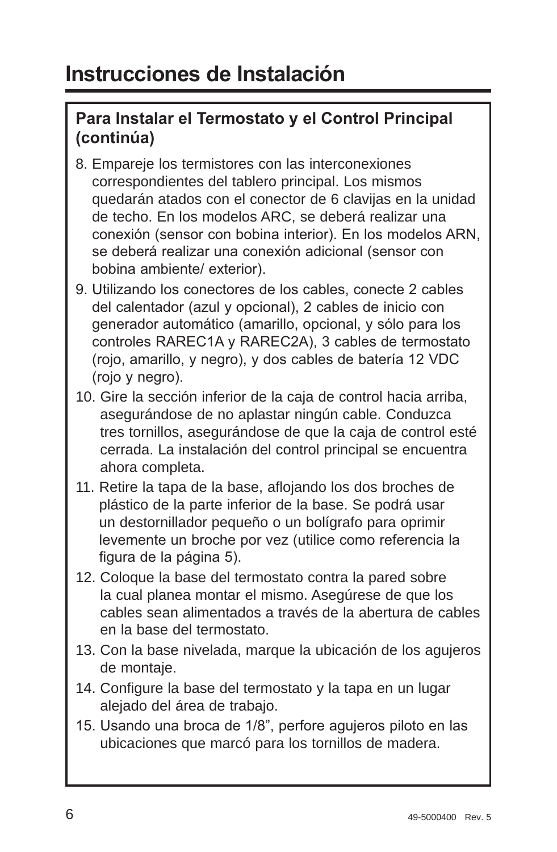### **Para Instalar el Termostato y el Control Principal** (continúa)

- 8. Empareje los termistores con las interconexiones correspondientes del tablero principal. Los mismos quedarán atados con el conector de 6 clavijas en la unidad de techo. En los modelos ARC, se deberá realizar una conexión (sensor con bobina interior). En los modelos ARN, se deberá realizar una conexión adicional (sensor con bobina ambiente/ exterior).
- 9. Utilizando los conectores de los cables, conecte 2 cables del calentador (azul y opcional). 2 cables de inicio con generador automático (amarillo, opcional, y sólo para los controles RAREC1A v RAREC2A). 3 cables de termostato (roio, amarillo, y negro), y dos cables de batería 12 VDC  $(rojo v negro).$
- 10. Gire la sección inferior de la caja de control hacia arriba, asegurándose de no aplastar ningún cable. Conduzca tres tornillos, asegurándose de que la caja de control esté cerrada. La instalación del control principal se encuentra ahora completa.
- 11. Retire la tapa de la base, aflojando los dos broches de plástico de la parte inferior de la base. Se podrá usar un destornillador pequeño o un bolígrafo para oprimir levemente un broche por vez (utilice como referencia la figura de la página 5).
- 12. Coloque la base del termostato contra la pared sobre la cual planea montar el mismo. Asegúrese de que los cables sean alimentados a través de la abertura de cables en la base del termostato.
- 13. Con la base nivelada, marque la ubicación de los agujeros de montaje.
- 14. Configure la base del termostato y la tapa en un lugar alejado del área de trabajo.
- 15. Usando una broca de 1/8", perfore aquieros piloto en las ubicaciones que marcó para los tornillos de madera.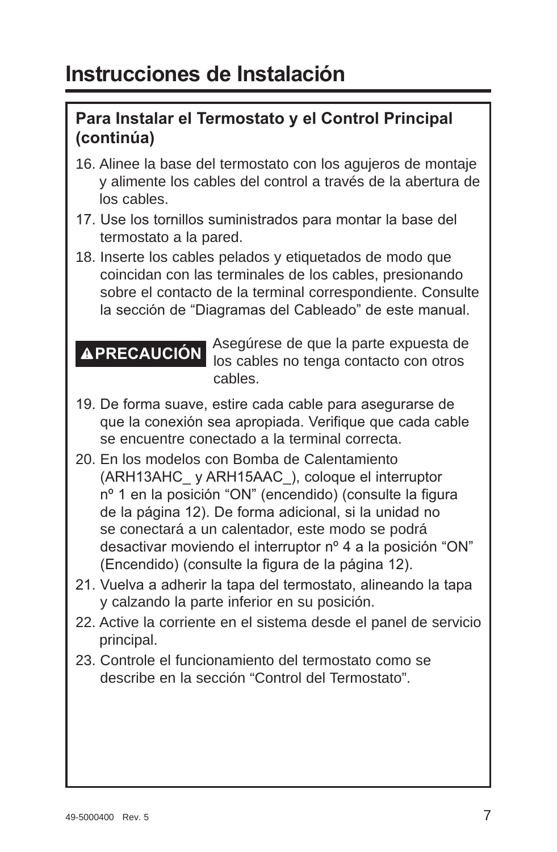# Instrucciones de Instalación

### **Para Instalar el Termostato y el Control Principal** (continúa)

- 16. Alinee la base del termostato con los agujeros de montaje y alimente los cables del control a través de la abertura de los cables.
- 17. Use los tornillos suministrados para montar la base del termostato a la pared.
- 18. Inserte los cables pelados y etiquetados de modo que coincidan con las terminales de los cables, presionando sobre el contacto de la terminal correspondiente. Consulte la sección de "Diagramas del Cableado" de este manual.

**PRECAUCIÓN** Asegúrese de que la parte expuesta de los cables no tenga contacto con otros cables.

- 19. De forma suave, estire cada cable para asegurarse de que la conexión sea apropiada. Verifique que cada cable se encuentre conectado a la terminal correcta.
- 20. En los modelos con Bomba de Calentamiento (ARH13AHC y ARH15AAC), coloque el interruptor nº 1 en la posición "ON" (encendido) (consulte la figura de la página 12). De forma adicional, si la unidad no se conectará a un calentador, este modo se podrá desactivar moviendo el interruptor nº 4 a la posición "ON" (Encendido) (consulte la figura de la página 12).
- 21. Vuelva a adherir la tapa del termostato, alineando la tapa y calzando la parte inferior en su posición.
- 22. Active la corriente en el sistema desde el panel de servicio principal.
- 23. Controle el funcionamiento del termostato como se describe en la sección "Control del Termostato".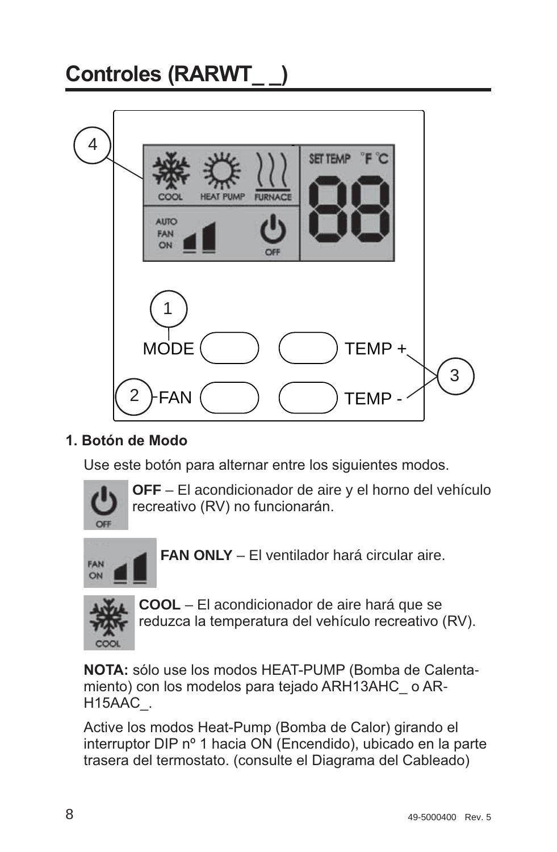# Controles (RARWT 4 SET TEMP FURNAC **HEAT PHM AUTO** FAN



#### 1 **Botón de Modo**

Use este botón para alternar entre los siguientes modos.



 **OFF** – El acondicionador de aire y el horno del vehículo recreativo (RV) no funcionarán.



**FAN ONLY** – El ventilador hará circular aire.



 **COOL** – El acondicionador de aire hará que se reduzca la temperatura del vehículo recreativo (RV).

**NOTA:** sólo use los modos HEAT-PUMP (Bomba de Calentamiento) con los modelos para tejado ARH13AHC o AR- $H15AAC$ .

Active los modos Heat-Pump (Bomba de Calor) girando el interruptor DIP nº 1 hacia ON (Encendido), ubicado en la parte trasera del termostato. (consulte el Diagrama del Cableado)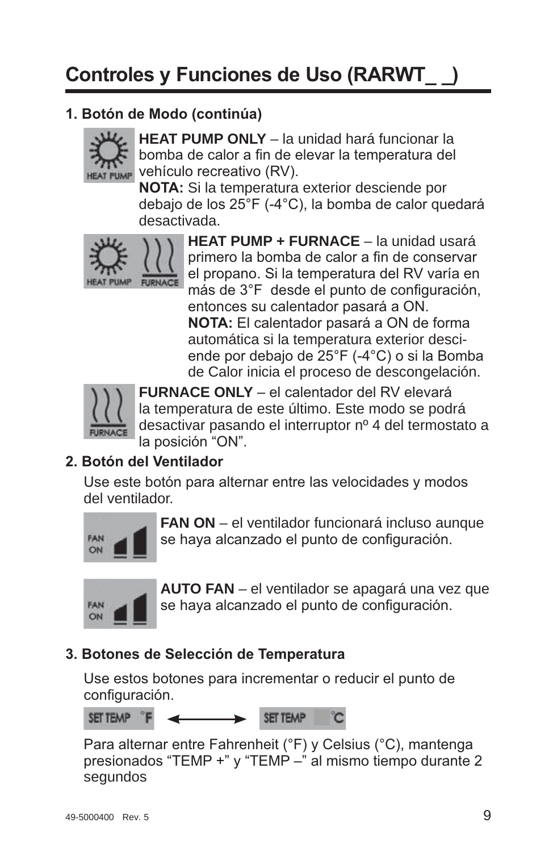#### 1. Botón de Modo (continúa)



**HEAT PUMP ONLY** – la unidad hará funcionar la bomba de calor a fin de elevar la temperatura del vehículo recreativo (RV).

**NOTA:** Si la temperatura exterior desciende por debaio de los  $25^{\circ}$ F (-4 $^{\circ}$ C). la bomba de calor quedará desactivada.



 **HEAT PUMP + FURNACE** – la unidad usará primero la bomba de calor a fin de conservar el propano. Si la temperatura del RV varía en más de 3°F desde el punto de configuración. entonces su calentador pasará a ON. **NOTA:** El calentador pasará a ON de forma automática si la temperatura exterior desciende por debajo de 25°F (-4°C) o si la Bomba de Calor inicia el proceso de descongelación.



**FURNACE ONLY** - el calentador del RV elevará la temperatura de este último. Este modo se podrá desactivar pasando el interruptor nº 4 del termostato a la posición "ON".

#### 2. Botón del Ventilador

Use este botón para alternar entre las velocidades y modos del ventilador.



 **FAN ON** – el ventilador funcionará incluso aunque se haya alcanzado el punto de configuración.



 **AUTO FAN** – el ventilador se apagará una vez que se haya alcanzado el punto de configuración.

#### **3. Botones de Selección de Temperatura**

Use estos botones para incrementar o reducir el punto de configuración.

SET TEMP <sup>°</sup>F SET TEMP

Para alternar entre Fahrenheit (°F) y Celsius (°C), mantenga presionados "TEMP +" y "TEMP -" al mismo tiempo durante 2 segundos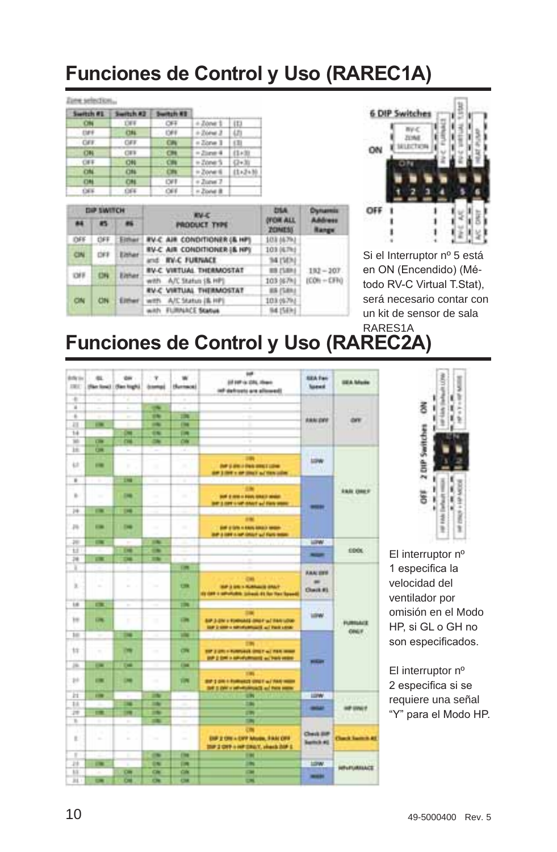# **Funciones de Control y Uso (RAREC1A)**

#### Zien selection...

| Switch #E   | Swiftch #3 | Switch #1  |                     |             |
|-------------|------------|------------|---------------------|-------------|
| <b>CHI</b>  | <b>THE</b> | OFF.       | $+$ Zóne 1 (13)     |             |
| $-120$      | <b>CHL</b> | $-1208$    | $+2const.3$ (2)     |             |
| $-$ CAV.    | CAV.       | CA         | $= 20ms + 1$        | 1(3)        |
| 08          | <b>CES</b> |            | $=25$ and $4$       | 11+39       |
| <b>CIFE</b> | (24)       | CHI        | $+2$ ove 5 $-10+30$ | π           |
| CH          | ON         | <b>CIN</b> | in Zoner 6          | $11.3 + 36$ |
| 4744        | <b>CMI</b> | <b>CVT</b> | + Zunei 7           |             |
| 1365        | 1364       | $-0.08$    | a Postal B          |             |

| <b>DIP SWITCH</b> |                            |        | <b>EV-C</b>                                   | <b>DSA</b>                               | Chattastell      |              |
|-------------------|----------------------------|--------|-----------------------------------------------|------------------------------------------|------------------|--------------|
| 88                | 45                         |        | <b>PRODUCT TYPE</b>                           | <b><i>DECAR ALL</i></b><br><b>ZONESS</b> | Advance<br>Eange |              |
| DFF               |                            | Sizhan | <b><i>RV-C AIR CONDITIONER (&amp; HP)</i></b> | 103 56793                                |                  |              |
| CIN               |                            | Elshar | <b>RV-C AIR CONDITIONER I&amp; HPI</b>        | 103 (6.7%)                               |                  |              |
|                   |                            |        | and <b>IN-C FURNACE</b>                       | 34 (50%)                                 |                  |              |
|                   | Elekar<br><b>CHE</b><br>CH |        | <b><i>RV-C. VIRTUAL THERMOSTAT</i></b>        | <b><i>RR ISBNA</i></b>                   | $192 - 207$      |              |
|                   |                            |        |                                               | with A/C Statuti (& HP)                  | 103 (67%)        | $ICON + CFO$ |
|                   | CN                         |        |                                               | <b><i>RV-C VIRTUAL THERMOSTAT</i></b>    | <b>BR (SBN)</b>  |              |
| CN                |                            | Elthan | with A/C Status (B. HP)                       | 103.05793                                |                  |              |
|                   |                            |        | with FLIRAACE Status                          | 94.15Eki                                 |                  |              |



Si el Interruptor nº 5 está en ON (Encendido) (Método RV-C Virtual T.Stat). será necesario contar con un kit de sensor de sala RARES1A

# **Funciones de Control y Uso (RAREC2A)**

| <b>Article</b><br><b>DEC</b> | $\frac{1}{2}$  | <b>OH</b><br>(Ren local   (Ren high) | ×<br><b><i><u>bampi</u></i></b> | ÷<br>Hummoti     | w<br>(if 147 is 231, Heat)<br>ist definets are allowed!                                     | <b>REA Park</b><br><b>Toked</b>                         | <b>ISEA Mode</b>        |
|------------------------------|----------------|--------------------------------------|---------------------------------|------------------|---------------------------------------------------------------------------------------------|---------------------------------------------------------|-------------------------|
| ٠                            | $\mathcal{L}$  | ٠                                    |                                 | Δ                |                                                                                             |                                                         |                         |
| ¥                            | ۰              | к                                    | -                               | ٠                | ٠<br>٠                                                                                      |                                                         |                         |
| ٠                            | ٠              | ÷                                    | 194                             | m                | ٠                                                                                           |                                                         |                         |
| m                            | <b>COL</b>     |                                      | $\overline{\phantom{a}}$        | <b>Chair</b>     | ٠<br>۰                                                                                      | <b>ABRIDEE</b>                                          | OFF                     |
| 14                           |                | c                                    | 64                              | <b>DR</b>        | ٠                                                                                           |                                                         |                         |
| w                            | œ              | m                                    | <b>CALL</b>                     | CH               | ٠<br>٠                                                                                      |                                                         |                         |
| m                            | $\overline{C}$ | $\sim$                               | $\sim$                          | ÷                | ٠                                                                                           | m                                                       |                         |
| 42                           | $\equiv$       | ٠                                    | ٠                               | ۰<br>$\alpha$    | m<br><b>July 2 draws the American College</b><br>AP 3 INT 1 M 2047 to 19th colm.            | <b>LOW</b>                                              |                         |
| ٠                            | т              | m                                    | ۰                               | ×                |                                                                                             |                                                         |                         |
| r.                           | $\sim$         | <b>DE</b>                            | ٠<br>٠                          | ٠<br>$\sim$<br>÷ | <br><b>SIX E-SIX + FOR SIXE! WHAT</b><br>be a net use anot ad two year.                     | -                                                       | <b><i>SAIL ONES</i></b> |
| 24                           | $-$            | $\overline{\phantom{a}}$             |                                 |                  |                                                                                             |                                                         |                         |
| p.                           | $\overline{a}$ | <b>CHE</b>                           | ٠                               | $\sim$           | <br><b>SHE &amp; SPR In ANIAN ASKAD MANAGE</b><br>are a late a set shout will first more    |                                                         |                         |
| m                            | ▄              | ٠                                    | <b>ISBN</b>                     | œ<br>۰           | ٠                                                                                           | LOW-                                                    |                         |
| Ħ                            |                | œ                                    | œ                               | -                |                                                                                             | -                                                       | <b>CDOL</b>             |
| 74                           | œ              | æ                                    | m                               | ٠                | ٠                                                                                           |                                                         |                         |
| ×                            |                | x                                    |                                 | <b>CHR</b>       |                                                                                             | <b>ABALISTS</b>                                         |                         |
| x                            | ٠              | ٠<br>×                               | <b>Side</b>                     | $\overline{C}$   | OH<br>THE 2 DRIVER MANAGEMENT<br>(i) (at a student place of he has been                     | $\equiv$<br><b>Chack #1</b><br>w                        |                         |
| 1.6                          | m              | v                                    | ٠                               | m                |                                                                                             |                                                         |                         |
| w                            | <b>CHE</b>     | ×                                    | w                               | <b>City</b>      | Bill 3 days to formulate direct sul their school.<br>the base is send percent at his costs. | $-70$<br><b>LOW</b>                                     | <b>FURRIACI</b>         |
| $10-$                        | ٠              | m                                    | $\sim$                          | m                |                                                                                             |                                                         | ONLY                    |
| 12                           | ٠              | m                                    | $\sim$                          | œ                | m<br>THE 2 UNI II FURNISHE STREET AT THIS WANK<br>AP 2 DK + AP-Fulfratt +/ Tel: vole        |                                                         |                         |
| m                            | $\sim$         | Two                                  |                                 | <b>The</b>       |                                                                                             | $-1$                                                    |                         |
|                              |                |                                      |                                 |                  | 191                                                                                         |                                                         |                         |
| $_{1+}$                      | 1981           | œ                                    | $\sim$                          | ш                | Bill 3 die in Kollegaat (2007 auf 744 miller<br>the 1 days a self-equipment and then seems  |                                                         |                         |
| ы                            | $\overline{1}$ |                                      | m                               |                  | m                                                                                           | <b>LEPW</b>                                             |                         |
| $\overline{11}$              |                | m                                    | <b>Side</b>                     | ٠<br>            | 336                                                                                         | -                                                       | <b>MP UVALY</b>         |
| 197                          | $\blacksquare$ | m                                    | m                               |                  | 279                                                                                         |                                                         |                         |
| ×                            | ٠              | ٠                                    | m                               | ٠                | m                                                                                           |                                                         |                         |
| x<br>ř.                      | ٠<br>$\sim$    | ×                                    | w                               | $\sim$           | <b>CM</b><br>DIF 2 ON + DFF Music, FAM OFF<br>that I can't a set them. Week that I          | <b>Clevil Biff</b><br><b><i><u>Restricts #0</u></i></b> | <b>Claud Service Ad</b> |
| ٠                            |                | ٠                                    | $\overline{a}$                  | <b>Film</b>      | 194                                                                                         |                                                         |                         |
| и                            | œ              | ٠                                    | 94                              | <b>DR</b>        | m                                                                                           | 12W                                                     | <b>WELFURELACE</b>      |
| <b>IS</b>                    |                | <b>CHI</b>                           | CH                              | CIA              | $\sim$                                                                                      | $\frac{1}{2}$                                           |                         |
| $_{\rm H}$                   | ▬              | œ                                    | $\overline{\mathbf{c}}$         | $\overline{a}$   | ш                                                                                           |                                                         |                         |



El interruptor nº 1 especifica la velocidad del ventilador por omisión en el Modo HP. si GL o GH no son especificados.

El interruptor nº 2 especifica si se requiere una señal "Y" para el Modo HP.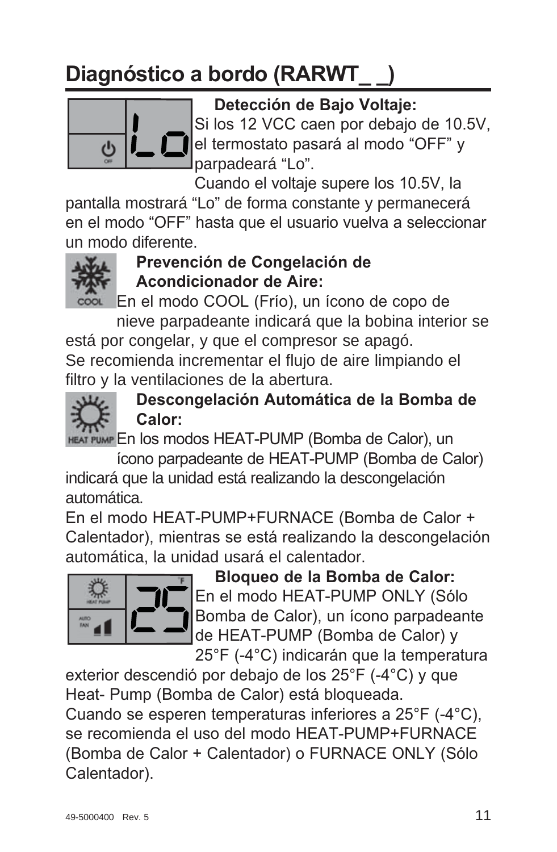# **Diagnóstico a bordo (RARWT**



Detección de Bajo Voltaje:

Si los 12 VCC caen por debajo de 10.5V, el termostato pasará al modo "OFF" y parpadeará "Lo".

Cuando el voltaje supere los 10.5V, la

pantalla mostrará "Lo" de forma constante y permanecerá en el modo "OFF" hasta que el usuario vuelva a seleccionar un modo diferente.



### **Prevención de Congelación de Acondicionador de Aire:**

cool En el modo COOL (Frío), un ícono de copo de nieve parpadeante indicará que la bobina interior se

está por congelar, y que el compresor se apagó. Se recomienda incrementar el flujo de aire limpiando el filtro y la ventilaciones de la abertura.



### Descongelación Automática de la Bomba de Calor:

HEAT PUMP En los modos HEAT-PUMP (Bomba de Calor), un

ícono parpadeante de HEAT-PUMP (Bomba de Calor) indicará que la unidad está realizando la descongelación automática.

En el modo HEAT-PUMP+FURNACE (Bomba de Calor + Calentador), mientras se está realizando la descongelación automática, la unidad usará el calentador.



**Bloqueo de la Bomba de Calor:** En el modo HEAT-PUMP ONLY (Sólo Bomba de Calor), un ícono parpadeante de HEAT-PUMP (Bomba de Calor) y 25°F (-4°C) indicarán que la temperatura

exterior descendió por debajo de los 25°F (-4°C) y que Heat- Pump (Bomba de Calor) está bloqueada. Cuando se esperen temperaturas inferiores a  $25^{\circ}F$  (-4 $^{\circ}C$ ). se recomienda el uso del modo HEAT-PUMP+FURNACE (Bomba de Calor + Calentador) o FURNACE ONLY (Sólo Calentador).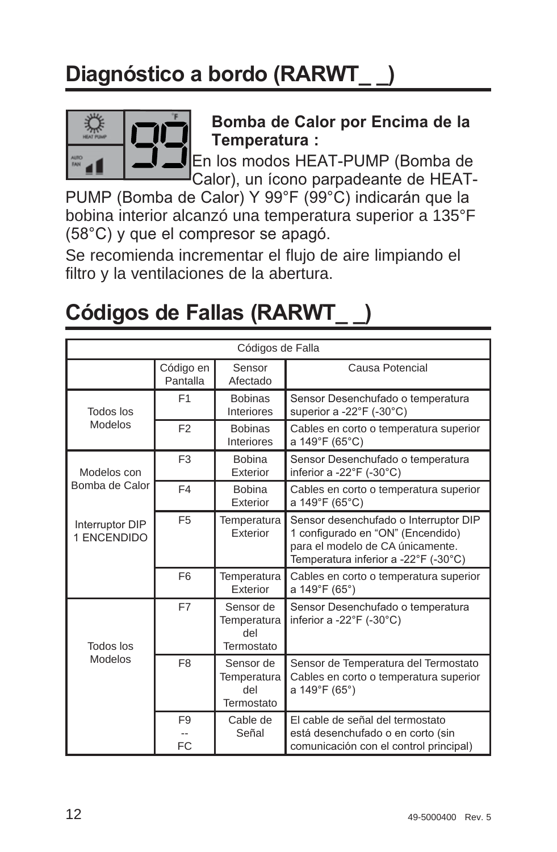# **Diagnóstico a bordo (RARWT**



Bomba de Calor por Encima de la **Temperatura**:

En los modos HEAT-PUMP (Bomba de Calor), un ícono parpadeante de HEAT-

PUMP (Bomba de Calor) Y 99°F (99°C) indicarán que la bobina interior alcanzó una temperatura superior a 135°F  $(58^{\circ}C)$  y que el compresor se apagó.

Se recomienda incrementar el flujo de aire limpiando el filtro y la ventilaciones de la abertura.

| Códigos de Falla               |                       |                                               |                                                                                                                                                        |  |  |  |
|--------------------------------|-----------------------|-----------------------------------------------|--------------------------------------------------------------------------------------------------------------------------------------------------------|--|--|--|
|                                | Código en<br>Pantalla | Sensor<br>Afectado                            | Causa Potencial                                                                                                                                        |  |  |  |
| Todos los                      | F1                    | <b>Bobinas</b><br>Interiores                  | Sensor Desenchufado o temperatura<br>superior a -22°F (-30°C)                                                                                          |  |  |  |
| Modelos                        | F <sub>2</sub>        | <b>Bobinas</b><br>Interiores                  | Cables en corto o temperatura superior<br>a 149°F (65°C)                                                                                               |  |  |  |
| Modelos con                    | F <sub>3</sub>        | <b>Bobina</b><br>Exterior                     | Sensor Desenchufado o temperatura<br>inferior a -22°F (-30°C)                                                                                          |  |  |  |
| Bomba de Calor                 | F4                    | <b>Bobina</b><br>Exterior                     | Cables en corto o temperatura superior<br>a 149°F (65°C)                                                                                               |  |  |  |
| Interruptor DIP<br>1 ENCENDIDO | F <sub>5</sub>        | Temperatura<br>Exterior                       | Sensor desenchufado o Interruptor DIP<br>1 configurado en "ON" (Encendido)<br>para el modelo de CA únicamente.<br>Temperatura inferior a -22°F (-30°C) |  |  |  |
|                                | F <sub>6</sub>        | Temperatura<br>Exterior                       | Cables en corto o temperatura superior<br>a 149°F (65°)                                                                                                |  |  |  |
| Todos los                      | F7                    | Sensor de<br>Temperatura<br>del<br>Termostato | Sensor Desenchufado o temperatura<br>inferior a -22°F (-30°C)                                                                                          |  |  |  |
| Modelos                        | F <sub>8</sub>        | Sensor de<br>Temperatura<br>del<br>Termostato | Sensor de Temperatura del Termostato<br>Cables en corto o temperatura superior<br>a 149°F (65°)                                                        |  |  |  |
|                                | F <sub>9</sub><br>FC  | Cable de<br>Señal                             | El cable de señal del termostato<br>está desenchufado o en corto (sin<br>comunicación con el control principal)                                        |  |  |  |

# **Códigos de Fallas (RARWT**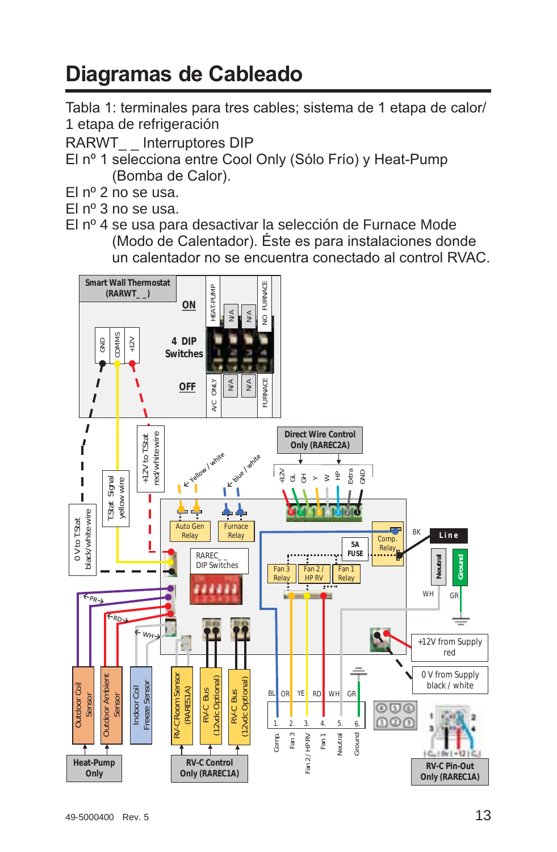# **Diagramas de Cableado**

Tabla 1: terminales para tres cables; sistema de 1 etapa de calor/ 1 etapa de refrigeración

- RARWT Interruptores DIP
- El nº 1 selecciona entre Cool Only (Sólo Frío) y Heat-Pump (Bomba de Calor).
- El  $n^{\circ}$  2 no se usa.
- $El n<sup>0</sup> 3 no se usa.$
- El nº 4 se usa para desactivar la selección de Furnace Mode (Modo de Calentador). Éste es para instalaciones donde un calentador no se encuentra conectado al control RVAC.

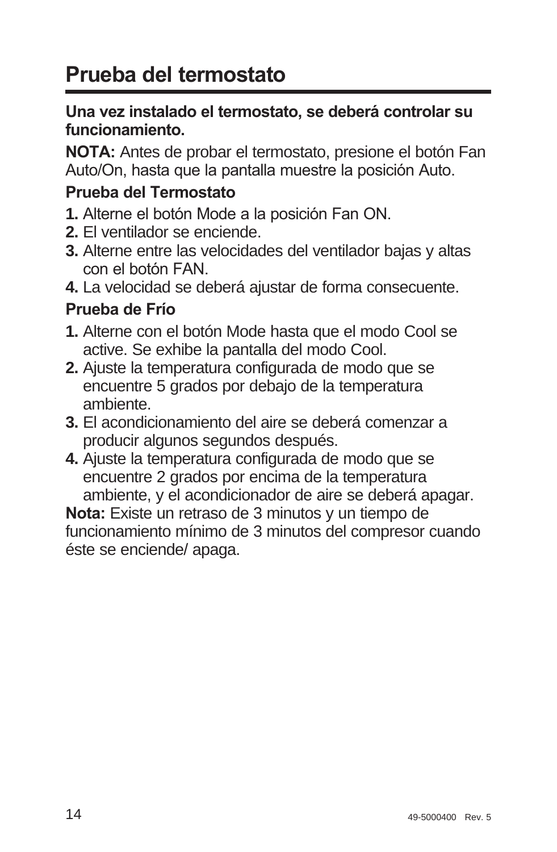# **Prueba del termostato**

#### Una vez instalado el termostato, se deberá controlar su funcionamiento.

**NOTA:** Antes de probar el termostato, presione el botón Fan Auto/On, hasta que la pantalla muestre la posición Auto.

#### **Prueba del Termostato**

- **1.** Alterne el botón Mode a la posición Fan ON.
- **2.** El ventilador se enciende.
- **3.** Alterne entre las velocidades del ventilador bajas y altas con el botón FAN.
- **4.** La velocidad se deberá ajustar de forma consecuente.

### **Prueba de Frío**

- **1.** Alterne con el botón Mode hasta que el modo Cool se active. Se exhibe la pantalla del modo Cool.
- **2.** Ajuste la temperatura configurada de modo que se encuentre 5 grados por debajo de la temperatura ambiente.
- **3.** El acondicionamiento del aire se deberá comenzar a producir algunos segundos después.
- **4.** Ajuste la temperatura configurada de modo que se encuentre 2 grados por encima de la temperatura ambiente, y el acondicionador de aire se deberá apagar.

Nota: Existe un retraso de 3 minutos y un tiempo de funcionamiento mínimo de 3 minutos del compresor cuando éste se enciende/ apaga.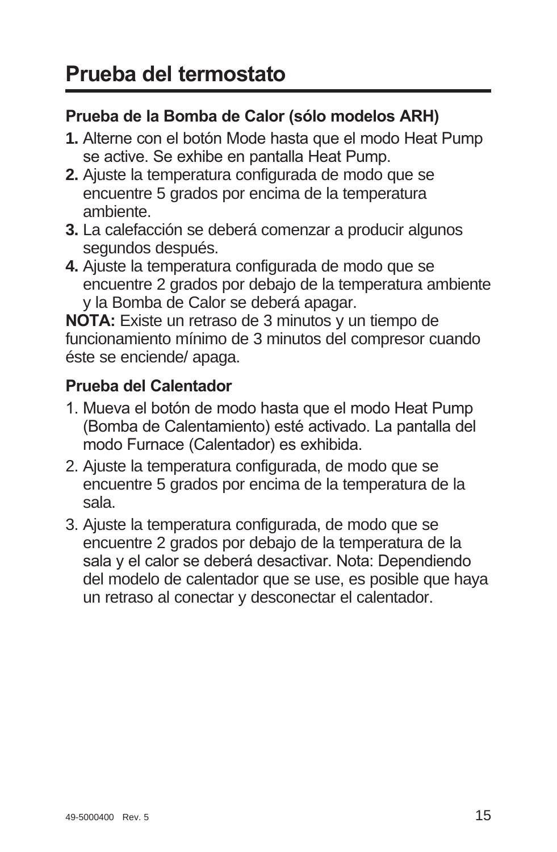### Prueba de la Bomba de Calor (sólo modelos ARH)

- 1. Alterne con el botón Mode hasta que el modo Heat Pump se active. Se exhibe en pantalla Heat Pump.
- **2.** Ajuste la temperatura configurada de modo que se encuentre 5 grados por encima de la temperatura ambiente.
- **3.** La calefacción se deberá comenzar a producir algunos segundos después.
- **4.** Ajuste la temperatura configurada de modo que se encuentre 2 grados por debajo de la temperatura ambiente y la Bomba de Calor se deberá apagar.

**NOTA:** Existe un retraso de 3 minutos y un tiempo de funcionamiento mínimo de 3 minutos del compresor cuando éste se enciende/ apaga.

### **Prueba del Calentador**

- 1. Mueva el botón de modo hasta que el modo Heat Pump (Bomba de Calentamiento) esté activado. La pantalla del modo Furnace (Calentador) es exhibida.
- 2. Ajuste la temperatura configurada, de modo que se encuentre 5 grados por encima de la temperatura de la sala.
- 3. Ajuste la temperatura configurada, de modo que se encuentre 2 grados por debajo de la temperatura de la sala y el calor se deberá desactivar. Nota: Dependiendo del modelo de calentador que se use, es posible que haya un retraso al conectar y desconectar el calentador.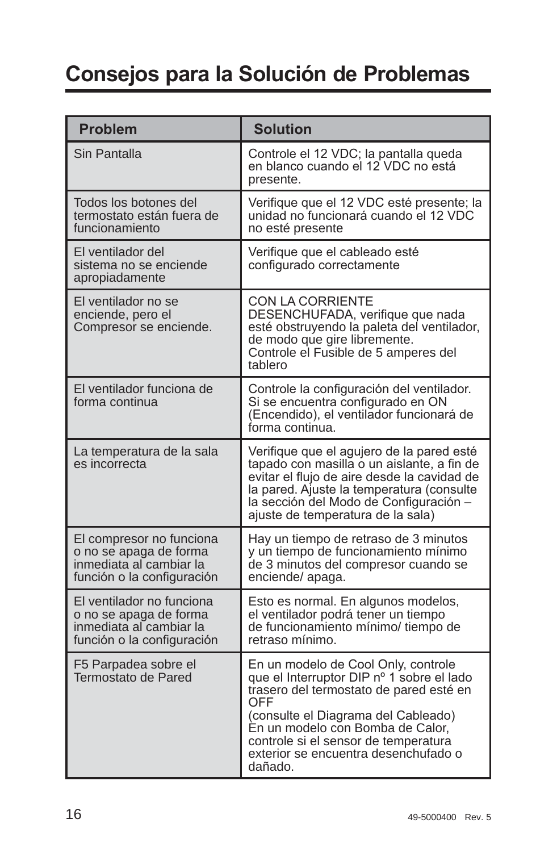# **Consejos para la Solución de Problemas**

| <b>Problem</b>                                                                                               | <b>Solution</b>                                                                                                                                                                                                                                                                                          |
|--------------------------------------------------------------------------------------------------------------|----------------------------------------------------------------------------------------------------------------------------------------------------------------------------------------------------------------------------------------------------------------------------------------------------------|
| Sin Pantalla                                                                                                 | Controle el 12 VDC; la pantalla queda<br>en blanco cuando el 12 VDC no está<br>presente.                                                                                                                                                                                                                 |
| Todos los botones del<br>termostato están fuera de<br>funcionamiento                                         | Verifique que el 12 VDC esté presente; la<br>unidad no funcionará cuando el 12 VDC<br>no esté presente                                                                                                                                                                                                   |
| El ventilador del<br>sistema no se enciende<br>apropiadamente                                                | Verifique que el cableado esté<br>configurado correctamente                                                                                                                                                                                                                                              |
| El ventilador no se<br>enciende, pero el<br>Compresor se enciende.                                           | CON LA CORRIENTE<br>DESENCHUFADA, verifique que nada<br>esté obstruyendo la paleta del ventilador,<br>de modo que gire libremente.<br>Controle el Fusible de 5 amperes del<br>tablero                                                                                                                    |
| El ventilador funciona de<br>forma continua                                                                  | Controle la configuración del ventilador.<br>Si se encuentra configurado en ON<br>(Encendido), el ventilador funcionará de<br>forma continua.                                                                                                                                                            |
| La temperatura de la sala<br>es incorrecta                                                                   | Verifique que el agujero de la pared esté<br>tapado con masilla o un aislante, a fin de<br>evitar el flujo de aire desde la cavidad de<br>la pared. Ajuste la temperatura (consulte<br>la sección del Modo de Configuración -<br>ajuste de temperatura de la sala)                                       |
| El compresor no funciona<br>o no se apaga de forma<br>inmediata al cambiar la<br>función o la configuración  | Hay un tiempo de retraso de 3 minutos<br>y un tiempo de funcionamiento mínimo<br>de 3 minutos del compresor cuando se<br>enciende/apaga.                                                                                                                                                                 |
| El ventilador no funciona<br>o no se apaga de forma<br>inmediata al cambiar la<br>función o la configuración | Esto es normal. En algunos modelos,<br>el ventilador podrá tener un tiempo<br>de funcionamiento mínimo/ tiempo de<br>retraso mínimo.                                                                                                                                                                     |
| F5 Parpadea sobre el<br>Termostato de Pared                                                                  | En un modelo de Cool Only, controle<br>que el Interruptor DIP nº 1 sobre el lado<br>trasero del termostato de pared esté en<br>OFF<br>(consulte el Diagrama del Cableado)<br>En un modelo con Bomba de Calor,<br>controle si el sensor de temperatura<br>exterior se encuentra desenchufado o<br>dañado. |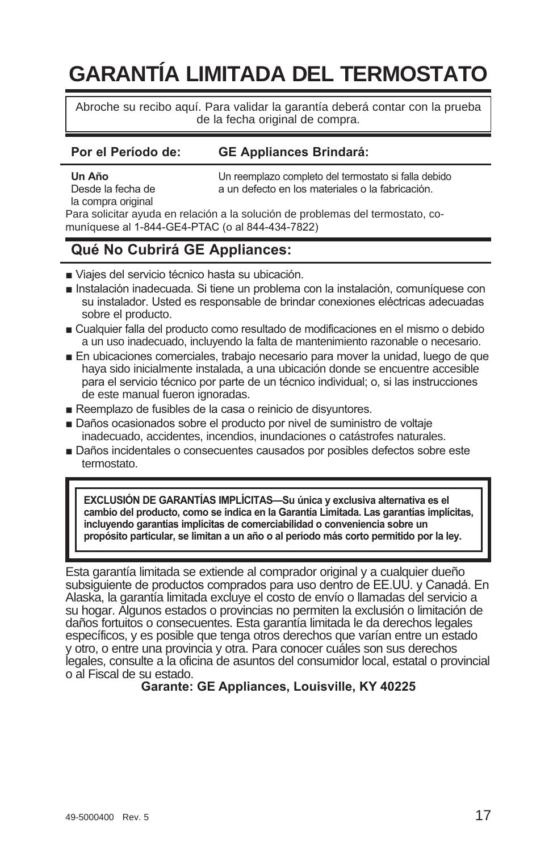# **GARANTÍA LIMITADA DEL TERMOSTATO**

Abroche su recibo aquí. Para validar la garantía deberá contar con la prueba de la fecha original de compra.

#### Por el Período de: **GE Appliances Brindará:**

la compra original

**Un Año**<br>Desde la fecha de **1990 en la sun defecto en los materiales o la fabricación** a un defecto en los materiales o la fabricación

Para solicitar ayuda en relación a la solución de problemas del termostato, comuníquese al 1-844-GE4-PTAC (o al 844-434-7822)

#### Qué No Cubrirá GE Appliances:

- Viaies del servicio técnico hasta su ubicación.
- Instalación inadecuada. Si tiene un problema con la instalación, comuníquese con su instalador. Usted es responsable de brindar conexiones eléctricas adecuadas sobre el producto.
- Cualquier falla del producto como resultado de modificaciones en el mismo o debido a un uso inadecuado, incluyendo la falta de mantenimiento razonable o necesario.
- En ubicaciones comerciales, trabajo necesario para mover la unidad, luego de que haya sido inicialmente instalada, a una ubicación donde se encuentre accesible para el servicio técnico por parte de un técnico individual; o, si las instrucciones de este manual fueron ignoradas.
- Reemplazo de fusibles de la casa o reinicio de disyuntores.
- Daños ocasionados sobre el producto por nivel de suministro de voltaie inadecuado, accidentes, incendios, inundaciones o catástrofes naturales.
- Daños incidentales o consecuentes causados por posibles defectos sobre este termostato.

**EXCLUSIÓN DE GARANTÍAS IMPLÍCITAS-Su única y exclusiva alternativa es el** cambio del producto, como se indica en la Garantía Limitada. Las garantías implícitas, incluyendo garantías implícitas de comerciabilidad o conveniencia sobre un propósito particular, se limitan a un año o al período más corto permitido por la ley.

Esta garantía limitada se extiende al comprador original y a cualquier dueño subsiguiente de productos comprados para uso dentro de EE.UU. y Canadá. En Alaska, la garantía limitada excluye el costo de envío o llamadas del servicio a su hogar. Algunos estados o provincias no permiten la exclusión o limitación de daños fortuitos o consecuentes. Esta garantía limitada le da derechos legales específicos, y es posible que tenga otros derechos que varían entre un estado y otro, o entre una provincia y otra. Para conocer cuáles son sus derechos legales, consulte a la oficina de asuntos del consumidor local, estatal o provincial o al Fiscal de su estado.

**Garante: GE Appliances, Louisville, KY 40225**